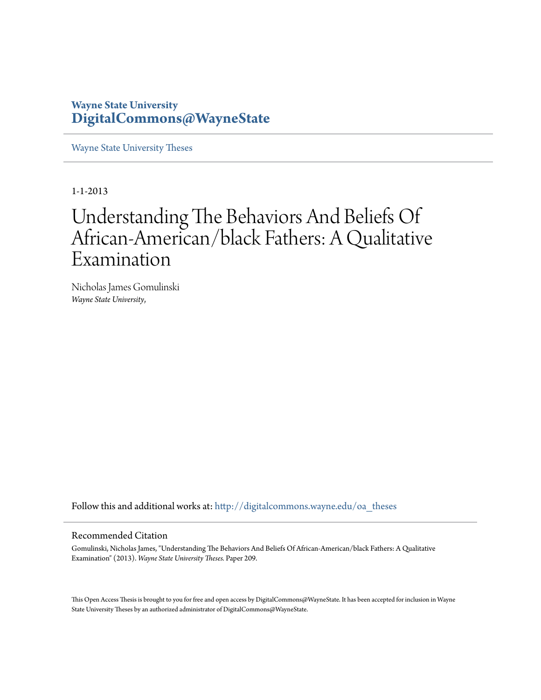# **Wayne State University [DigitalCommons@WayneState](http://digitalcommons.wayne.edu?utm_source=digitalcommons.wayne.edu%2Foa_theses%2F209&utm_medium=PDF&utm_campaign=PDFCoverPages)**

[Wayne State University Theses](http://digitalcommons.wayne.edu/oa_theses?utm_source=digitalcommons.wayne.edu%2Foa_theses%2F209&utm_medium=PDF&utm_campaign=PDFCoverPages)

1-1-2013

# Understanding The Behaviors And Beliefs Of African-American/black Fathers: A Qualitative Examination

Nicholas James Gomulinski *Wayne State University*,

Follow this and additional works at: [http://digitalcommons.wayne.edu/oa\\_theses](http://digitalcommons.wayne.edu/oa_theses?utm_source=digitalcommons.wayne.edu%2Foa_theses%2F209&utm_medium=PDF&utm_campaign=PDFCoverPages)

#### Recommended Citation

Gomulinski, Nicholas James, "Understanding The Behaviors And Beliefs Of African-American/black Fathers: A Qualitative Examination" (2013). *Wayne State University Theses.* Paper 209.

This Open Access Thesis is brought to you for free and open access by DigitalCommons@WayneState. It has been accepted for inclusion in Wayne State University Theses by an authorized administrator of DigitalCommons@WayneState.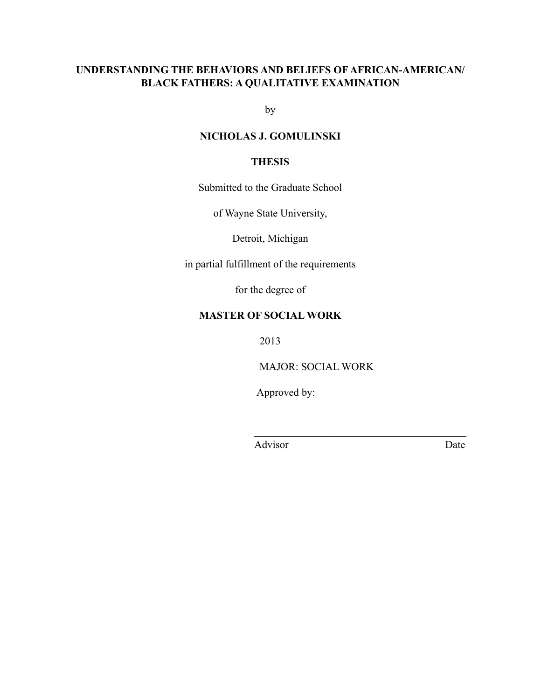## **UNDERSTANDING THE BEHAVIORS AND BELIEFS OF AFRICAN-AMERICAN/ BLACK FATHERS: A QUALITATIVE EXAMINATION**

by

### **NICHOLAS J. GOMULINSKI**

### **THESIS**

Submitted to the Graduate School

of Wayne State University,

Detroit, Michigan

in partial fulfillment of the requirements

for the degree of

### **MASTER OF SOCIAL WORK**

2013

MAJOR: SOCIAL WORK

 $\mathcal{L}_\text{max}$  , and the contract of the contract of the contract of the contract of the contract of the contract of the contract of the contract of the contract of the contract of the contract of the contract of the contr

Approved by:

Advisor Date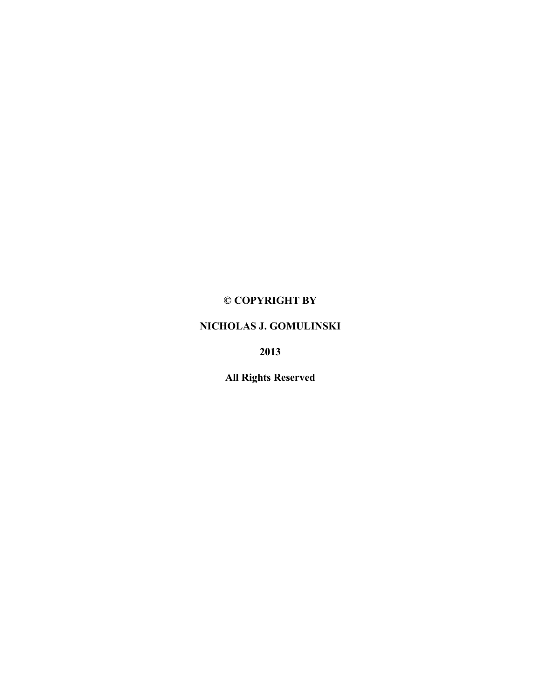# **© COPYRIGHT BY**

### **NICHOLAS J. GOMULINSKI**

**2013**

**All Rights Reserved**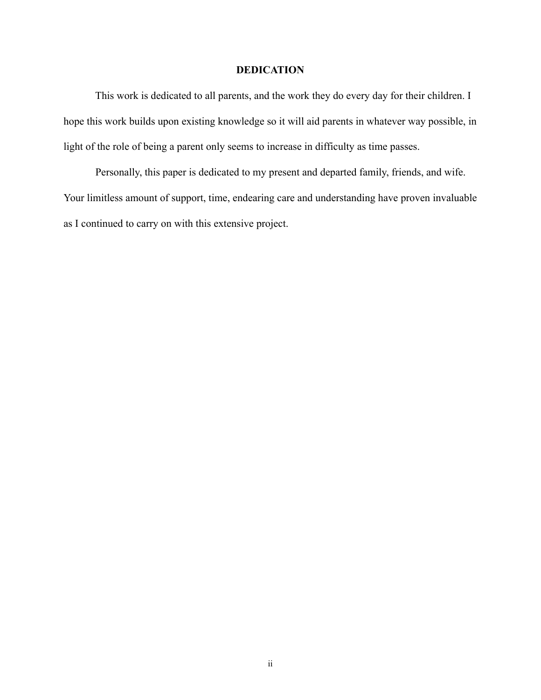### **DEDICATION**

 This work is dedicated to all parents, and the work they do every day for their children. I hope this work builds upon existing knowledge so it will aid parents in whatever way possible, in light of the role of being a parent only seems to increase in difficulty as time passes.

 Personally, this paper is dedicated to my present and departed family, friends, and wife. Your limitless amount of support, time, endearing care and understanding have proven invaluable as I continued to carry on with this extensive project.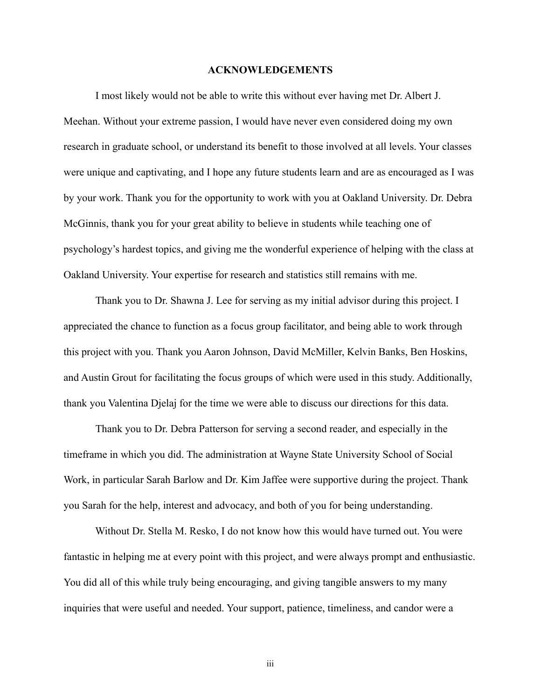#### **ACKNOWLEDGEMENTS**

I most likely would not be able to write this without ever having met Dr. Albert J. Meehan. Without your extreme passion, I would have never even considered doing my own research in graduate school, or understand its benefit to those involved at all levels. Your classes were unique and captivating, and I hope any future students learn and are as encouraged as I was by your work. Thank you for the opportunity to work with you at Oakland University. Dr. Debra McGinnis, thank you for your great ability to believe in students while teaching one of psychology's hardest topics, and giving me the wonderful experience of helping with the class at Oakland University. Your expertise for research and statistics still remains with me.

Thank you to Dr. Shawna J. Lee for serving as my initial advisor during this project. I appreciated the chance to function as a focus group facilitator, and being able to work through this project with you. Thank you Aaron Johnson, David McMiller, Kelvin Banks, Ben Hoskins, and Austin Grout for facilitating the focus groups of which were used in this study. Additionally, thank you Valentina Djelaj for the time we were able to discuss our directions for this data.

Thank you to Dr. Debra Patterson for serving a second reader, and especially in the timeframe in which you did. The administration at Wayne State University School of Social Work, in particular Sarah Barlow and Dr. Kim Jaffee were supportive during the project. Thank you Sarah for the help, interest and advocacy, and both of you for being understanding.

 Without Dr. Stella M. Resko, I do not know how this would have turned out. You were fantastic in helping me at every point with this project, and were always prompt and enthusiastic. You did all of this while truly being encouraging, and giving tangible answers to my many inquiries that were useful and needed. Your support, patience, timeliness, and candor were a

iii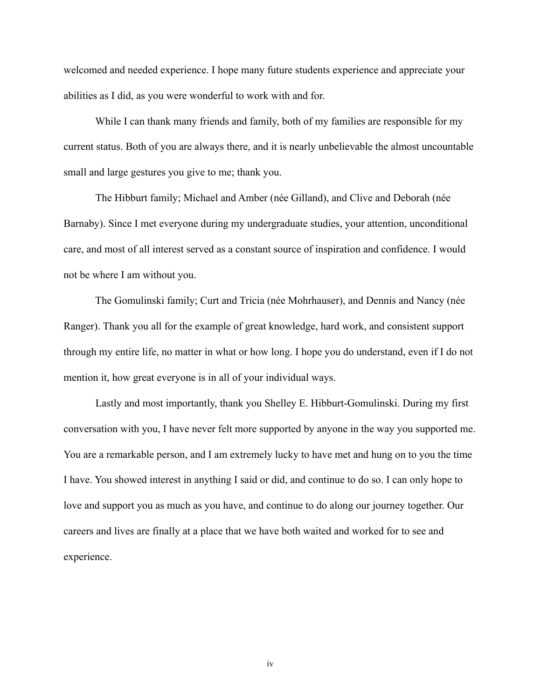welcomed and needed experience. I hope many future students experience and appreciate your abilities as I did, as you were wonderful to work with and for.

 While I can thank many friends and family, both of my families are responsible for my current status. Both of you are always there, and it is nearly unbelievable the almost uncountable small and large gestures you give to me; thank you.

The Hibburt family; Michael and Amber (née Gilland), and Clive and Deborah (née Barnaby). Since I met everyone during my undergraduate studies, your attention, unconditional care, and most of all interest served as a constant source of inspiration and confidence. I would not be where I am without you.

 The Gomulinski family; Curt and Tricia (née Mohrhauser), and Dennis and Nancy (née Ranger). Thank you all for the example of great knowledge, hard work, and consistent support through my entire life, no matter in what or how long. I hope you do understand, even if I do not mention it, how great everyone is in all of your individual ways.

 Lastly and most importantly, thank you Shelley E. Hibburt-Gomulinski. During my first conversation with you, I have never felt more supported by anyone in the way you supported me. You are a remarkable person, and I am extremely lucky to have met and hung on to you the time I have. You showed interest in anything I said or did, and continue to do so. I can only hope to love and support you as much as you have, and continue to do along our journey together. Our careers and lives are finally at a place that we have both waited and worked for to see and experience.

iv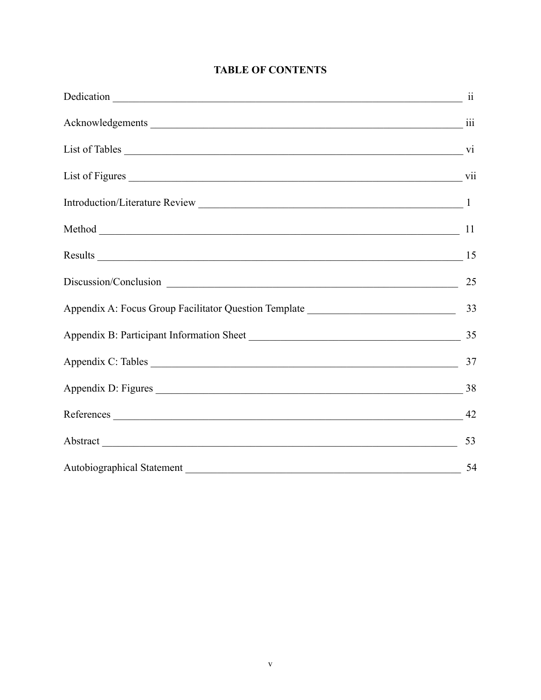| Method 11                                                                         |    |
|-----------------------------------------------------------------------------------|----|
| Results 15                                                                        |    |
| Discussion/Conclusion 25                                                          |    |
| Appendix A: Focus Group Facilitator Question Template ___________________________ | 33 |
| Appendix B: Participant Information Sheet                                         | 35 |
|                                                                                   | 37 |
|                                                                                   |    |
|                                                                                   |    |
|                                                                                   | 53 |
|                                                                                   | 54 |

# **TABLE OF CONTENTS**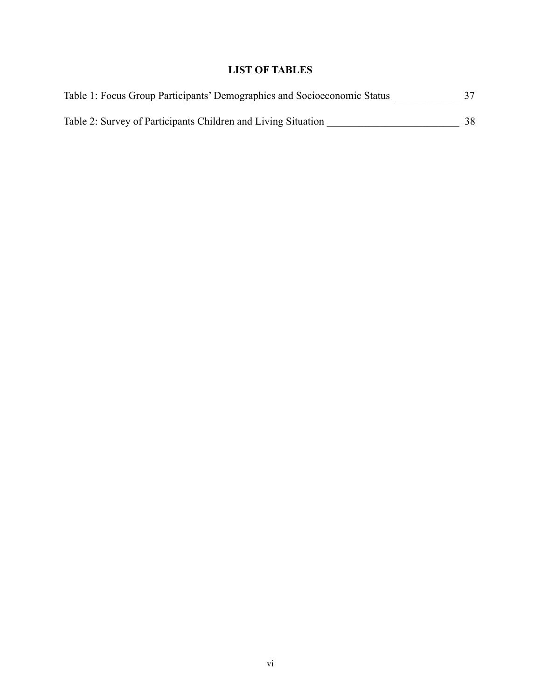# **LIST OF TABLES**

| Table 1: Focus Group Participants' Demographics and Socioeconomic Status |     |
|--------------------------------------------------------------------------|-----|
| Table 2: Survey of Participants Children and Living Situation            | 38. |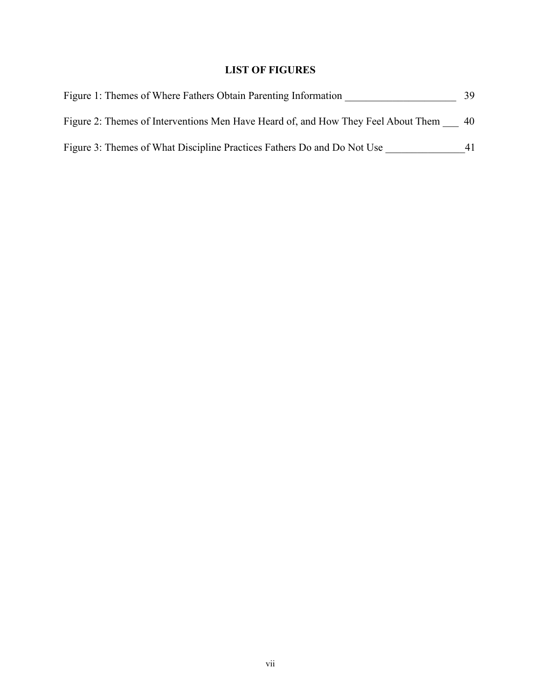# **LIST OF FIGURES**

| Figure 1: Themes of Where Fathers Obtain Parenting Information                    | 39 |
|-----------------------------------------------------------------------------------|----|
| Figure 2: Themes of Interventions Men Have Heard of, and How They Feel About Them | 40 |
| Figure 3: Themes of What Discipline Practices Fathers Do and Do Not Use           |    |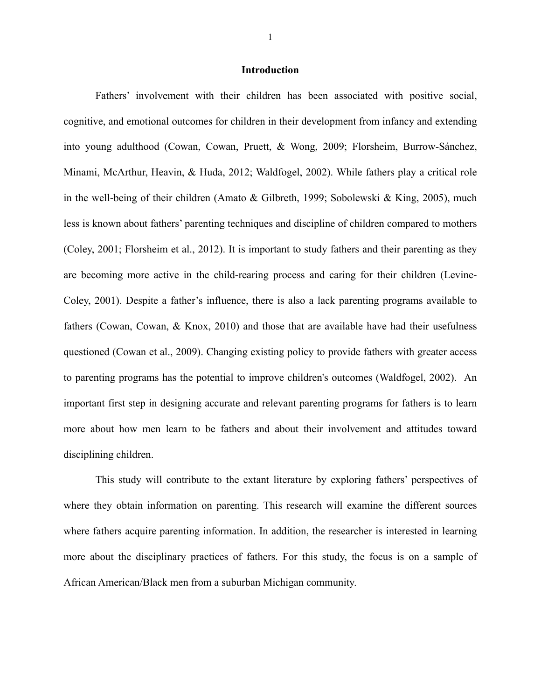#### **Introduction**

Fathers' involvement with their children has been associated with positive social, cognitive, and emotional outcomes for children in their development from infancy and extending into young adulthood (Cowan, Cowan, Pruett, & Wong, 2009; Florsheim, Burrow-Sánchez, Minami, McArthur, Heavin, & Huda, 2012; Waldfogel, 2002). While fathers play a critical role in the well-being of their children (Amato & Gilbreth, 1999; Sobolewski & King, 2005), much less is known about fathers' parenting techniques and discipline of children compared to mothers (Coley, 2001; Florsheim et al., 2012). It is important to study fathers and their parenting as they are becoming more active in the child-rearing process and caring for their children (Levine-Coley, 2001). Despite a father's influence, there is also a lack parenting programs available to fathers (Cowan, Cowan, & Knox, 2010) and those that are available have had their usefulness questioned (Cowan et al., 2009). Changing existing policy to provide fathers with greater access to parenting programs has the potential to improve children's outcomes (Waldfogel, 2002). An important first step in designing accurate and relevant parenting programs for fathers is to learn more about how men learn to be fathers and about their involvement and attitudes toward disciplining children.

This study will contribute to the extant literature by exploring fathers' perspectives of where they obtain information on parenting. This research will examine the different sources where fathers acquire parenting information. In addition, the researcher is interested in learning more about the disciplinary practices of fathers. For this study, the focus is on a sample of African American/Black men from a suburban Michigan community.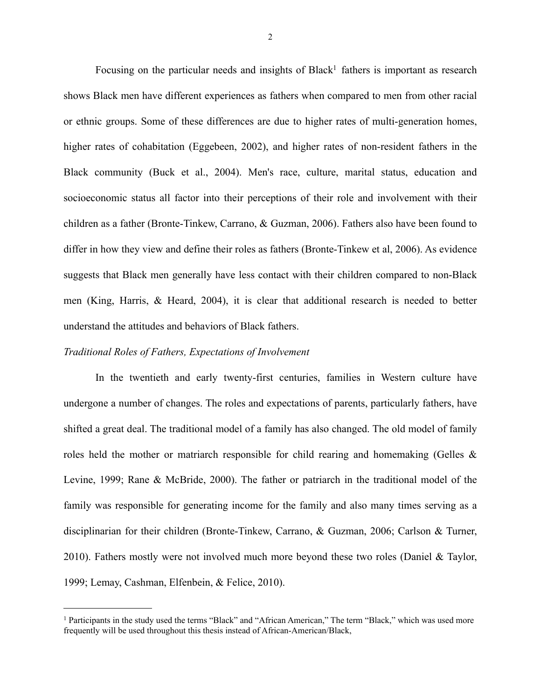Focusing on the particular needs and insights of Black<sup>1</sup> fathers is important as research shows Black men have different experiences as fathers when compared to men from other racial or ethnic groups. Some of these differences are due to higher rates of multi-generation homes, higher rates of cohabitation (Eggebeen, 2002), and higher rates of non-resident fathers in the Black community (Buck et al., 2004). Men's race, culture, marital status, education and socioeconomic status all factor into their perceptions of their role and involvement with their children as a father (Bronte-Tinkew, Carrano, & Guzman, 2006). Fathers also have been found to differ in how they view and define their roles as fathers (Bronte-Tinkew et al, 2006). As evidence suggests that Black men generally have less contact with their children compared to non-Black men (King, Harris, & Heard, 2004), it is clear that additional research is needed to better understand the attitudes and behaviors of Black fathers.

#### *Traditional Roles of Fathers, Expectations of Involvement*

In the twentieth and early twenty-first centuries, families in Western culture have undergone a number of changes. The roles and expectations of parents, particularly fathers, have shifted a great deal. The traditional model of a family has also changed. The old model of family roles held the mother or matriarch responsible for child rearing and homemaking (Gelles  $\&$ Levine, 1999; Rane & McBride, 2000). The father or patriarch in the traditional model of the family was responsible for generating income for the family and also many times serving as a disciplinarian for their children (Bronte-Tinkew, Carrano, & Guzman, 2006; Carlson & Turner, 2010). Fathers mostly were not involved much more beyond these two roles (Daniel & Taylor, 1999; Lemay, Cashman, Elfenbein, & Felice, 2010).

<span id="page-10-0"></span><sup>1</sup> Participants in the study used the terms "Black" and "African American," The term "Black," which was used more frequently will be used throughout this thesis instead of African-American/Black,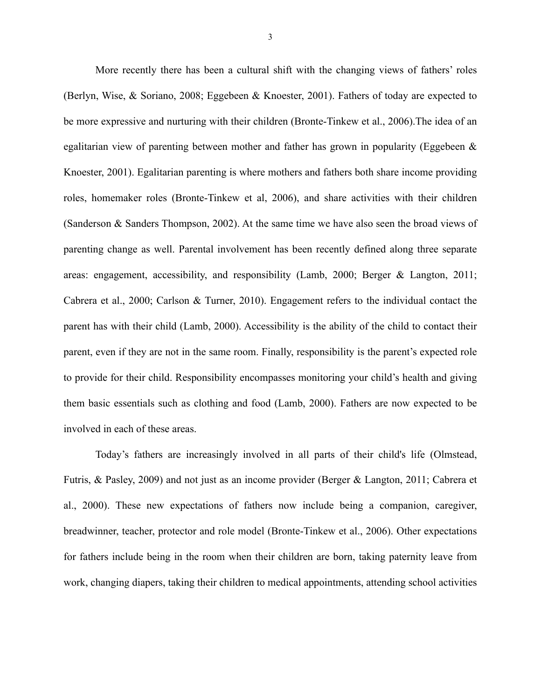More recently there has been a cultural shift with the changing views of fathers' roles (Berlyn, Wise, & Soriano, 2008; Eggebeen & Knoester, 2001). Fathers of today are expected to be more expressive and nurturing with their children (Bronte-Tinkew et al., 2006).The idea of an egalitarian view of parenting between mother and father has grown in popularity (Eggebeen & Knoester, 2001). Egalitarian parenting is where mothers and fathers both share income providing roles, homemaker roles (Bronte-Tinkew et al, 2006), and share activities with their children (Sanderson & Sanders Thompson, 2002). At the same time we have also seen the broad views of parenting change as well. Parental involvement has been recently defined along three separate areas: engagement, accessibility, and responsibility (Lamb, 2000; Berger & Langton, 2011; Cabrera et al., 2000; Carlson & Turner, 2010). Engagement refers to the individual contact the parent has with their child (Lamb, 2000). Accessibility is the ability of the child to contact their parent, even if they are not in the same room. Finally, responsibility is the parent's expected role to provide for their child. Responsibility encompasses monitoring your child's health and giving them basic essentials such as clothing and food (Lamb, 2000). Fathers are now expected to be involved in each of these areas.

Today's fathers are increasingly involved in all parts of their child's life (Olmstead, Futris, & Pasley, 2009) and not just as an income provider (Berger & Langton, 2011; Cabrera et al., 2000). These new expectations of fathers now include being a companion, caregiver, breadwinner, teacher, protector and role model (Bronte-Tinkew et al., 2006). Other expectations for fathers include being in the room when their children are born, taking paternity leave from work, changing diapers, taking their children to medical appointments, attending school activities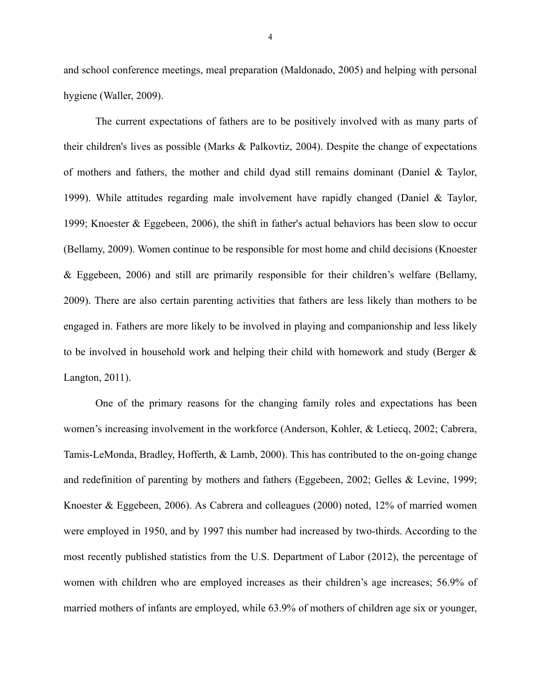and school conference meetings, meal preparation (Maldonado, 2005) and helping with personal hygiene (Waller, 2009).

The current expectations of fathers are to be positively involved with as many parts of their children's lives as possible (Marks & Palkovtiz, 2004). Despite the change of expectations of mothers and fathers, the mother and child dyad still remains dominant (Daniel & Taylor, 1999). While attitudes regarding male involvement have rapidly changed (Daniel & Taylor, 1999; Knoester & Eggebeen, 2006), the shift in father's actual behaviors has been slow to occur (Bellamy, 2009). Women continue to be responsible for most home and child decisions (Knoester & Eggebeen, 2006) and still are primarily responsible for their children's welfare (Bellamy, 2009). There are also certain parenting activities that fathers are less likely than mothers to be engaged in. Fathers are more likely to be involved in playing and companionship and less likely to be involved in household work and helping their child with homework and study (Berger & Langton, 2011).

One of the primary reasons for the changing family roles and expectations has been women's increasing involvement in the workforce (Anderson, Kohler, & Letiecq, 2002; Cabrera, Tamis-LeMonda, Bradley, Hofferth, & Lamb, 2000). This has contributed to the on-going change and redefinition of parenting by mothers and fathers (Eggebeen, 2002; Gelles & Levine, 1999; Knoester & Eggebeen, 2006). As Cabrera and colleagues (2000) noted, 12% of married women were employed in 1950, and by 1997 this number had increased by two-thirds. According to the most recently published statistics from the U.S. Department of Labor (2012), the percentage of women with children who are employed increases as their children's age increases; 56.9% of married mothers of infants are employed, while 63.9% of mothers of children age six or younger,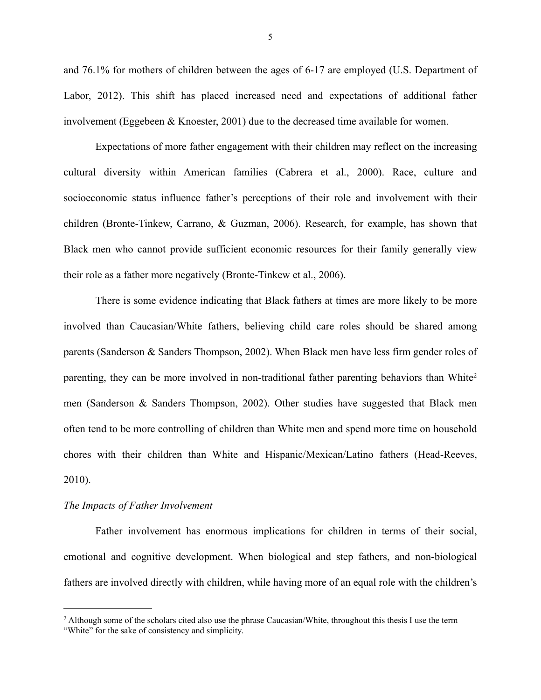and 76.1% for mothers of children between the ages of 6-17 are employed (U.S. Department of Labor, 2012). This shift has placed increased need and expectations of additional father involvement (Eggebeen & Knoester, 2001) due to the decreased time available for women.

Expectations of more father engagement with their children may reflect on the increasing cultural diversity within American families (Cabrera et al., 2000). Race, culture and socioeconomic status influence father's perceptions of their role and involvement with their children (Bronte-Tinkew, Carrano, & Guzman, 2006). Research, for example, has shown that Black men who cannot provide sufficient economic resources for their family generally view their role as a father more negatively (Bronte-Tinkew et al., 2006).

There is some evidence indicating that Black fathers at times are more likely to be more involved than Caucasian/White fathers, believing child care roles should be shared among parents (Sanderson & Sanders Thompson, 2002). When Black men have less firm gender roles of parenting, they can be more involved in non-traditional father parenting behaviors than White[2](#page-13-0) men (Sanderson & Sanders Thompson, 2002). Other studies have suggested that Black men often tend to be more controlling of children than White men and spend more time on household chores with their children than White and Hispanic/Mexican/Latino fathers (Head-Reeves, 2010).

#### *The Impacts of Father Involvement*

Father involvement has enormous implications for children in terms of their social, emotional and cognitive development. When biological and step fathers, and non-biological fathers are involved directly with children, while having more of an equal role with the children's

<span id="page-13-0"></span><sup>&</sup>lt;sup>2</sup> Although some of the scholars cited also use the phrase Caucasian/White, throughout this thesis I use the term "White" for the sake of consistency and simplicity.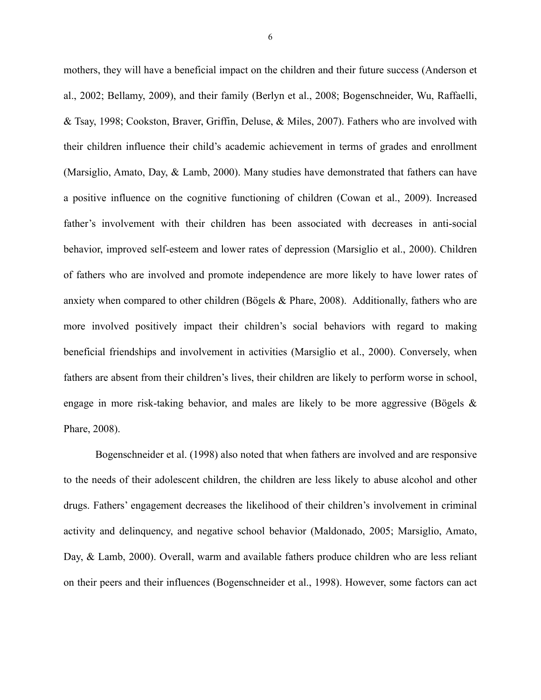mothers, they will have a beneficial impact on the children and their future success (Anderson et al., 2002; Bellamy, 2009), and their family (Berlyn et al., 2008; Bogenschneider, Wu, Raffaelli, & Tsay, 1998; Cookston, Braver, Griffin, Deluse, & Miles, 2007). Fathers who are involved with their children influence their child's academic achievement in terms of grades and enrollment (Marsiglio, Amato, Day, & Lamb, 2000). Many studies have demonstrated that fathers can have a positive influence on the cognitive functioning of children (Cowan et al., 2009). Increased father's involvement with their children has been associated with decreases in anti-social behavior, improved self-esteem and lower rates of depression (Marsiglio et al., 2000). Children of fathers who are involved and promote independence are more likely to have lower rates of anxiety when compared to other children (Bögels  $\&$  Phare, 2008). Additionally, fathers who are more involved positively impact their children's social behaviors with regard to making beneficial friendships and involvement in activities (Marsiglio et al., 2000). Conversely, when fathers are absent from their children's lives, their children are likely to perform worse in school, engage in more risk-taking behavior, and males are likely to be more aggressive (Bögels & Phare, 2008).

 Bogenschneider et al. (1998) also noted that when fathers are involved and are responsive to the needs of their adolescent children, the children are less likely to abuse alcohol and other drugs. Fathers' engagement decreases the likelihood of their children's involvement in criminal activity and delinquency, and negative school behavior (Maldonado, 2005; Marsiglio, Amato, Day, & Lamb, 2000). Overall, warm and available fathers produce children who are less reliant on their peers and their influences (Bogenschneider et al., 1998). However, some factors can act

6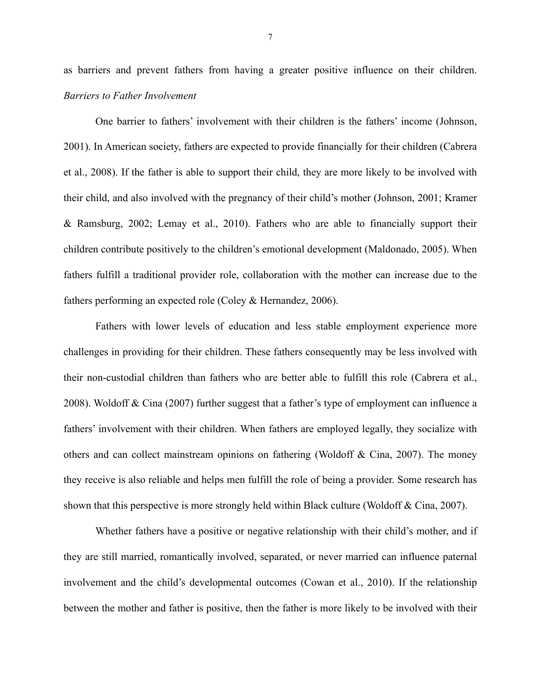as barriers and prevent fathers from having a greater positive influence on their children. *Barriers to Father Involvement*

One barrier to fathers' involvement with their children is the fathers' income (Johnson, 2001). In American society, fathers are expected to provide financially for their children (Cabrera et al., 2008). If the father is able to support their child, they are more likely to be involved with their child, and also involved with the pregnancy of their child's mother (Johnson, 2001; Kramer & Ramsburg, 2002; Lemay et al., 2010). Fathers who are able to financially support their children contribute positively to the children's emotional development (Maldonado, 2005). When fathers fulfill a traditional provider role, collaboration with the mother can increase due to the fathers performing an expected role (Coley & Hernandez, 2006).

 Fathers with lower levels of education and less stable employment experience more challenges in providing for their children. These fathers consequently may be less involved with their non-custodial children than fathers who are better able to fulfill this role (Cabrera et al., 2008). Woldoff & Cina (2007) further suggest that a father's type of employment can influence a fathers' involvement with their children. When fathers are employed legally, they socialize with others and can collect mainstream opinions on fathering (Woldoff & Cina, 2007). The money they receive is also reliable and helps men fulfill the role of being a provider. Some research has shown that this perspective is more strongly held within Black culture (Woldoff & Cina, 2007).

Whether fathers have a positive or negative relationship with their child's mother, and if they are still married, romantically involved, separated, or never married can influence paternal involvement and the child's developmental outcomes (Cowan et al., 2010). If the relationship between the mother and father is positive, then the father is more likely to be involved with their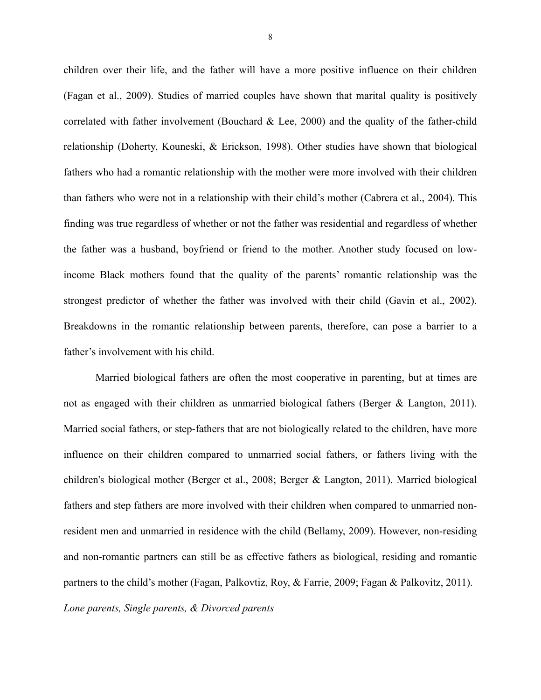children over their life, and the father will have a more positive influence on their children (Fagan et al., 2009). Studies of married couples have shown that marital quality is positively correlated with father involvement (Bouchard & Lee, 2000) and the quality of the father-child relationship (Doherty, Kouneski, & Erickson, 1998). Other studies have shown that biological fathers who had a romantic relationship with the mother were more involved with their children than fathers who were not in a relationship with their child's mother (Cabrera et al., 2004). This finding was true regardless of whether or not the father was residential and regardless of whether the father was a husband, boyfriend or friend to the mother. Another study focused on lowincome Black mothers found that the quality of the parents' romantic relationship was the strongest predictor of whether the father was involved with their child (Gavin et al., 2002). Breakdowns in the romantic relationship between parents, therefore, can pose a barrier to a father's involvement with his child.

Married biological fathers are often the most cooperative in parenting, but at times are not as engaged with their children as unmarried biological fathers (Berger & Langton, 2011). Married social fathers, or step-fathers that are not biologically related to the children, have more influence on their children compared to unmarried social fathers, or fathers living with the children's biological mother (Berger et al., 2008; Berger & Langton, 2011). Married biological fathers and step fathers are more involved with their children when compared to unmarried nonresident men and unmarried in residence with the child (Bellamy, 2009). However, non-residing and non-romantic partners can still be as effective fathers as biological, residing and romantic partners to the child's mother (Fagan, Palkovtiz, Roy, & Farrie, 2009; Fagan & Palkovitz, 2011). *Lone parents, Single parents, & Divorced parents*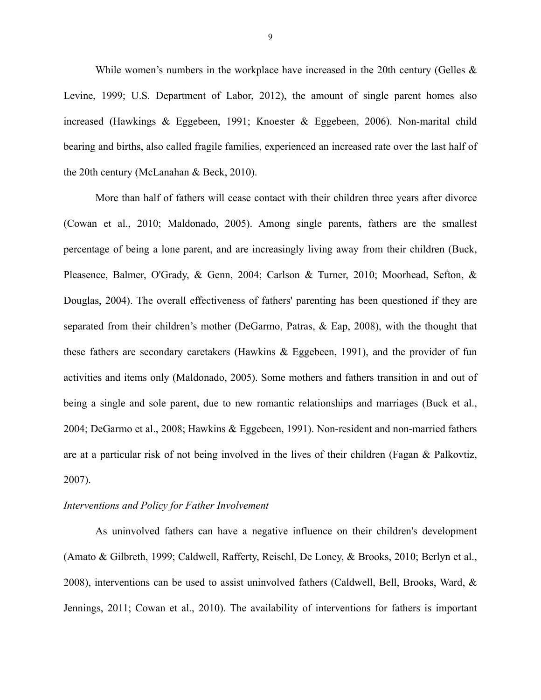While women's numbers in the workplace have increased in the 20th century (Gelles  $\&$ Levine, 1999; U.S. Department of Labor, 2012), the amount of single parent homes also increased (Hawkings & Eggebeen, 1991; Knoester & Eggebeen, 2006). Non-marital child bearing and births, also called fragile families, experienced an increased rate over the last half of the 20th century (McLanahan & Beck, 2010).

More than half of fathers will cease contact with their children three years after divorce (Cowan et al., 2010; Maldonado, 2005). Among single parents, fathers are the smallest percentage of being a lone parent, and are increasingly living away from their children (Buck, Pleasence, Balmer, O'Grady, & Genn, 2004; Carlson & Turner, 2010; Moorhead, Sefton, & Douglas, 2004). The overall effectiveness of fathers' parenting has been questioned if they are separated from their children's mother (DeGarmo, Patras, & Eap, 2008), with the thought that these fathers are secondary caretakers (Hawkins & Eggebeen, 1991), and the provider of fun activities and items only (Maldonado, 2005). Some mothers and fathers transition in and out of being a single and sole parent, due to new romantic relationships and marriages (Buck et al., 2004; DeGarmo et al., 2008; Hawkins & Eggebeen, 1991). Non-resident and non-married fathers are at a particular risk of not being involved in the lives of their children (Fagan & Palkovtiz, 2007).

### *Interventions and Policy for Father Involvement*

As uninvolved fathers can have a negative influence on their children's development (Amato & Gilbreth, 1999; Caldwell, Rafferty, Reischl, De Loney, & Brooks, 2010; Berlyn et al., 2008), interventions can be used to assist uninvolved fathers (Caldwell, Bell, Brooks, Ward, & Jennings, 2011; Cowan et al., 2010). The availability of interventions for fathers is important

9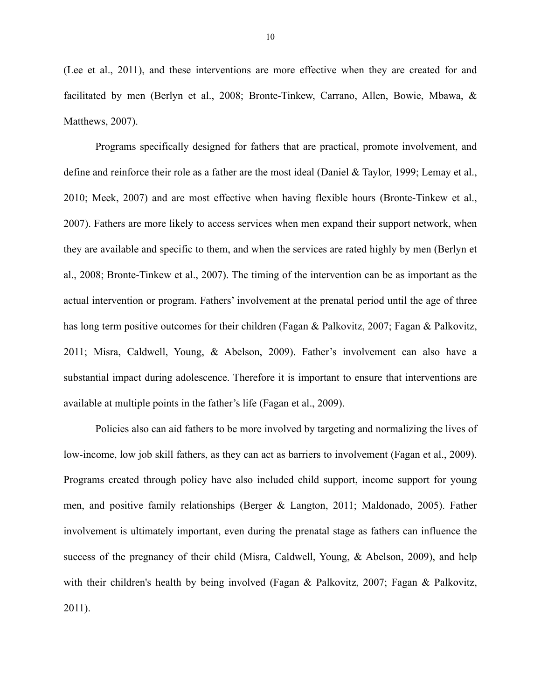(Lee et al., 2011), and these interventions are more effective when they are created for and facilitated by men (Berlyn et al., 2008; Bronte-Tinkew, Carrano, Allen, Bowie, Mbawa, & Matthews, 2007).

Programs specifically designed for fathers that are practical, promote involvement, and define and reinforce their role as a father are the most ideal (Daniel & Taylor, 1999; Lemay et al., 2010; Meek, 2007) and are most effective when having flexible hours (Bronte-Tinkew et al., 2007). Fathers are more likely to access services when men expand their support network, when they are available and specific to them, and when the services are rated highly by men (Berlyn et al., 2008; Bronte-Tinkew et al., 2007). The timing of the intervention can be as important as the actual intervention or program. Fathers' involvement at the prenatal period until the age of three has long term positive outcomes for their children (Fagan & Palkovitz, 2007; Fagan & Palkovitz, 2011; Misra, Caldwell, Young, & Abelson, 2009). Father's involvement can also have a substantial impact during adolescence. Therefore it is important to ensure that interventions are available at multiple points in the father's life (Fagan et al., 2009).

Policies also can aid fathers to be more involved by targeting and normalizing the lives of low-income, low job skill fathers, as they can act as barriers to involvement (Fagan et al., 2009). Programs created through policy have also included child support, income support for young men, and positive family relationships (Berger & Langton, 2011; Maldonado, 2005). Father involvement is ultimately important, even during the prenatal stage as fathers can influence the success of the pregnancy of their child (Misra, Caldwell, Young, & Abelson, 2009), and help with their children's health by being involved (Fagan & Palkovitz, 2007; Fagan & Palkovitz, 2011).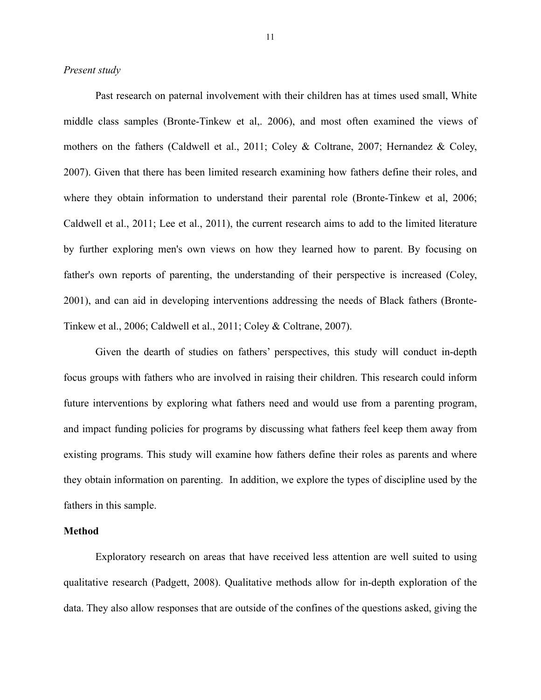#### *Present study*

Past research on paternal involvement with their children has at times used small, White middle class samples (Bronte-Tinkew et al,. 2006), and most often examined the views of mothers on the fathers (Caldwell et al., 2011; Coley & Coltrane, 2007; Hernandez & Coley, 2007). Given that there has been limited research examining how fathers define their roles, and where they obtain information to understand their parental role (Bronte-Tinkew et al, 2006; Caldwell et al., 2011; Lee et al., 2011), the current research aims to add to the limited literature by further exploring men's own views on how they learned how to parent. By focusing on father's own reports of parenting, the understanding of their perspective is increased (Coley, 2001), and can aid in developing interventions addressing the needs of Black fathers (Bronte-Tinkew et al., 2006; Caldwell et al., 2011; Coley & Coltrane, 2007).

Given the dearth of studies on fathers' perspectives, this study will conduct in-depth focus groups with fathers who are involved in raising their children. This research could inform future interventions by exploring what fathers need and would use from a parenting program, and impact funding policies for programs by discussing what fathers feel keep them away from existing programs. This study will examine how fathers define their roles as parents and where they obtain information on parenting. In addition, we explore the types of discipline used by the fathers in this sample.

#### **Method**

 Exploratory research on areas that have received less attention are well suited to using qualitative research (Padgett, 2008). Qualitative methods allow for in-depth exploration of the data. They also allow responses that are outside of the confines of the questions asked, giving the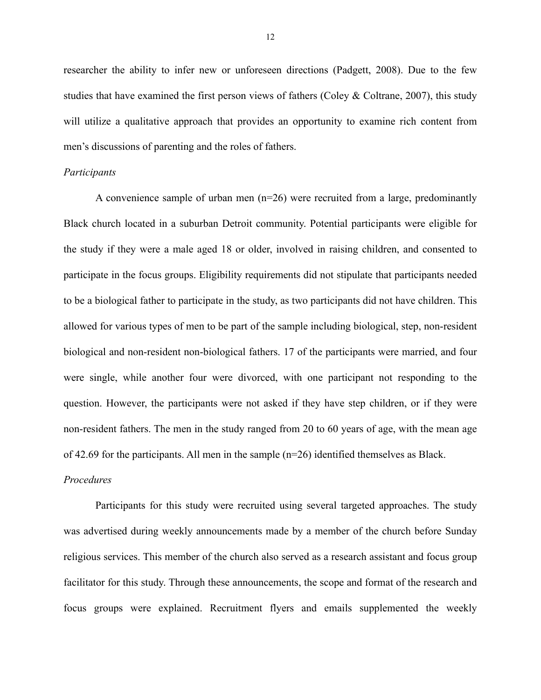researcher the ability to infer new or unforeseen directions (Padgett, 2008). Due to the few studies that have examined the first person views of fathers (Coley  $&$  Coltrane, 2007), this study will utilize a qualitative approach that provides an opportunity to examine rich content from men's discussions of parenting and the roles of fathers.

#### *Participants*

A convenience sample of urban men (n=26) were recruited from a large, predominantly Black church located in a suburban Detroit community. Potential participants were eligible for the study if they were a male aged 18 or older, involved in raising children, and consented to participate in the focus groups. Eligibility requirements did not stipulate that participants needed to be a biological father to participate in the study, as two participants did not have children. This allowed for various types of men to be part of the sample including biological, step, non-resident biological and non-resident non-biological fathers. 17 of the participants were married, and four were single, while another four were divorced, with one participant not responding to the question. However, the participants were not asked if they have step children, or if they were non-resident fathers. The men in the study ranged from 20 to 60 years of age, with the mean age of 42.69 for the participants. All men in the sample (n=26) identified themselves as Black.

#### *Procedures*

Participants for this study were recruited using several targeted approaches. The study was advertised during weekly announcements made by a member of the church before Sunday religious services. This member of the church also served as a research assistant and focus group facilitator for this study. Through these announcements, the scope and format of the research and focus groups were explained. Recruitment flyers and emails supplemented the weekly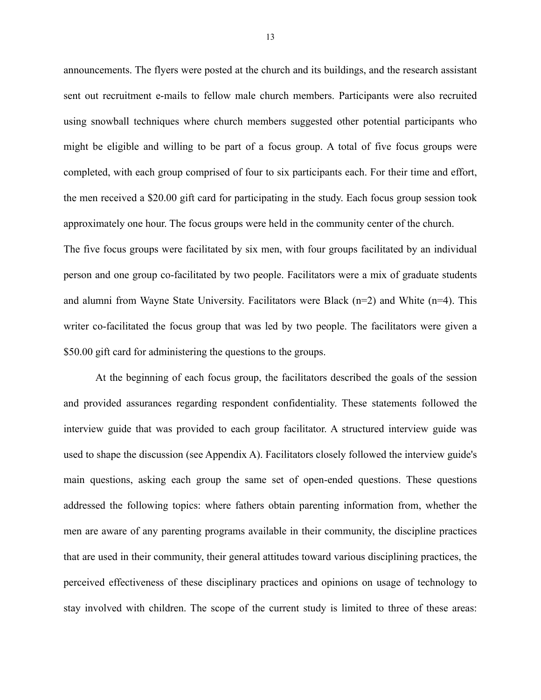announcements. The flyers were posted at the church and its buildings, and the research assistant sent out recruitment e-mails to fellow male church members. Participants were also recruited using snowball techniques where church members suggested other potential participants who might be eligible and willing to be part of a focus group. A total of five focus groups were completed, with each group comprised of four to six participants each. For their time and effort, the men received a \$20.00 gift card for participating in the study. Each focus group session took approximately one hour. The focus groups were held in the community center of the church. The five focus groups were facilitated by six men, with four groups facilitated by an individual person and one group co-facilitated by two people. Facilitators were a mix of graduate students and alumni from Wayne State University. Facilitators were Black  $(n=2)$  and White  $(n=4)$ . This writer co-facilitated the focus group that was led by two people. The facilitators were given a \$50.00 gift card for administering the questions to the groups.

At the beginning of each focus group, the facilitators described the goals of the session and provided assurances regarding respondent confidentiality. These statements followed the interview guide that was provided to each group facilitator. A structured interview guide was used to shape the discussion (see Appendix A). Facilitators closely followed the interview guide's main questions, asking each group the same set of open-ended questions. These questions addressed the following topics: where fathers obtain parenting information from, whether the men are aware of any parenting programs available in their community, the discipline practices that are used in their community, their general attitudes toward various disciplining practices, the perceived effectiveness of these disciplinary practices and opinions on usage of technology to stay involved with children. The scope of the current study is limited to three of these areas: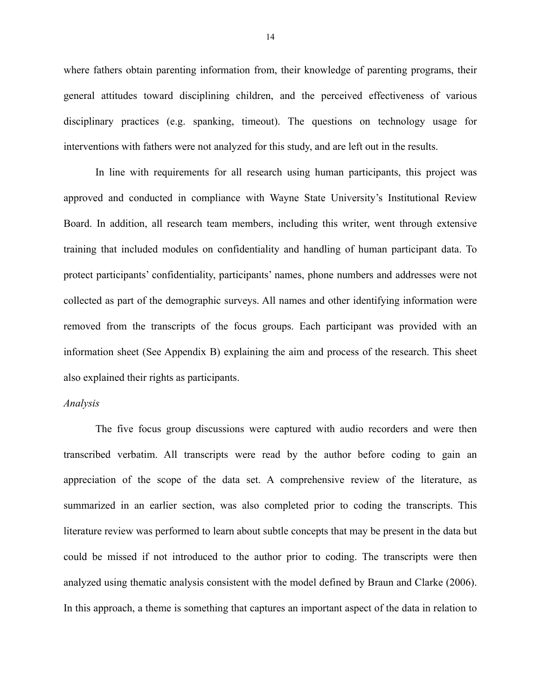where fathers obtain parenting information from, their knowledge of parenting programs, their general attitudes toward disciplining children, and the perceived effectiveness of various disciplinary practices (e.g. spanking, timeout). The questions on technology usage for interventions with fathers were not analyzed for this study, and are left out in the results.

 In line with requirements for all research using human participants, this project was approved and conducted in compliance with Wayne State University's Institutional Review Board. In addition, all research team members, including this writer, went through extensive training that included modules on confidentiality and handling of human participant data. To protect participants' confidentiality, participants' names, phone numbers and addresses were not collected as part of the demographic surveys. All names and other identifying information were removed from the transcripts of the focus groups. Each participant was provided with an information sheet (See Appendix B) explaining the aim and process of the research. This sheet also explained their rights as participants.

#### *Analysis*

The five focus group discussions were captured with audio recorders and were then transcribed verbatim. All transcripts were read by the author before coding to gain an appreciation of the scope of the data set. A comprehensive review of the literature, as summarized in an earlier section, was also completed prior to coding the transcripts. This literature review was performed to learn about subtle concepts that may be present in the data but could be missed if not introduced to the author prior to coding. The transcripts were then analyzed using thematic analysis consistent with the model defined by Braun and Clarke (2006). In this approach, a theme is something that captures an important aspect of the data in relation to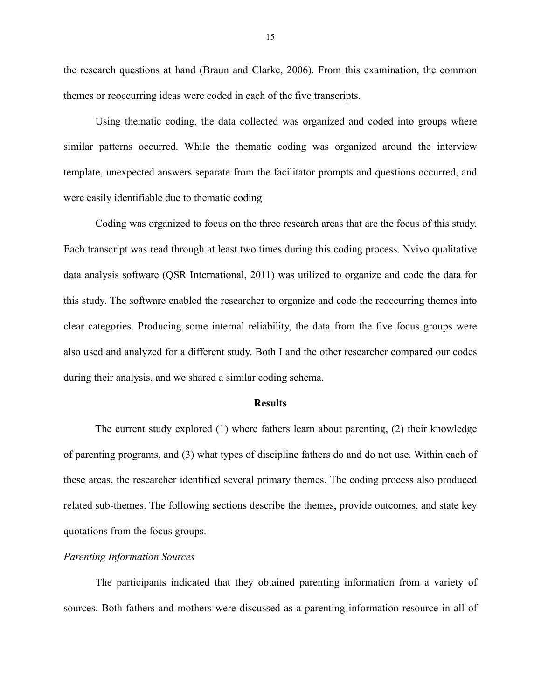the research questions at hand (Braun and Clarke, 2006). From this examination, the common themes or reoccurring ideas were coded in each of the five transcripts.

 Using thematic coding, the data collected was organized and coded into groups where similar patterns occurred. While the thematic coding was organized around the interview template, unexpected answers separate from the facilitator prompts and questions occurred, and were easily identifiable due to thematic coding

Coding was organized to focus on the three research areas that are the focus of this study. Each transcript was read through at least two times during this coding process. Nvivo qualitative data analysis software (QSR International, 2011) was utilized to organize and code the data for this study. The software enabled the researcher to organize and code the reoccurring themes into clear categories. Producing some internal reliability, the data from the five focus groups were also used and analyzed for a different study. Both I and the other researcher compared our codes during their analysis, and we shared a similar coding schema.

#### **Results**

 The current study explored (1) where fathers learn about parenting, (2) their knowledge of parenting programs, and (3) what types of discipline fathers do and do not use. Within each of these areas, the researcher identified several primary themes. The coding process also produced related sub-themes. The following sections describe the themes, provide outcomes, and state key quotations from the focus groups.

#### *Parenting Information Sources*

The participants indicated that they obtained parenting information from a variety of sources. Both fathers and mothers were discussed as a parenting information resource in all of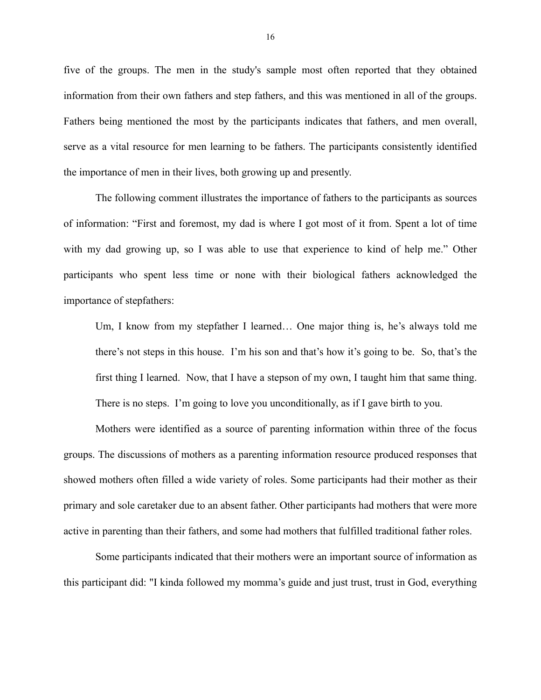five of the groups. The men in the study's sample most often reported that they obtained information from their own fathers and step fathers, and this was mentioned in all of the groups. Fathers being mentioned the most by the participants indicates that fathers, and men overall, serve as a vital resource for men learning to be fathers. The participants consistently identified the importance of men in their lives, both growing up and presently.

The following comment illustrates the importance of fathers to the participants as sources of information: "First and foremost, my dad is where I got most of it from. Spent a lot of time with my dad growing up, so I was able to use that experience to kind of help me." Other participants who spent less time or none with their biological fathers acknowledged the importance of stepfathers:

Um, I know from my stepfather I learned… One major thing is, he's always told me there's not steps in this house. I'm his son and that's how it's going to be. So, that's the first thing I learned. Now, that I have a stepson of my own, I taught him that same thing. There is no steps. I'm going to love you unconditionally, as if I gave birth to you.

Mothers were identified as a source of parenting information within three of the focus groups. The discussions of mothers as a parenting information resource produced responses that showed mothers often filled a wide variety of roles. Some participants had their mother as their primary and sole caretaker due to an absent father. Other participants had mothers that were more active in parenting than their fathers, and some had mothers that fulfilled traditional father roles.

Some participants indicated that their mothers were an important source of information as this participant did: "I kinda followed my momma's guide and just trust, trust in God, everything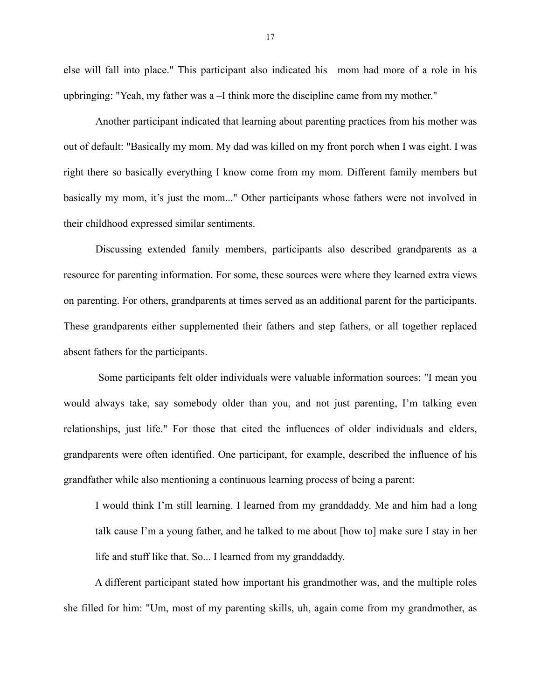else will fall into place." This participant also indicated his mom had more of a role in his upbringing: "Yeah, my father was a –I think more the discipline came from my mother."

Another participant indicated that learning about parenting practices from his mother was out of default: "Basically my mom. My dad was killed on my front porch when I was eight. I was right there so basically everything I know come from my mom. Different family members but basically my mom, it's just the mom..." Other participants whose fathers were not involved in their childhood expressed similar sentiments.

Discussing extended family members, participants also described grandparents as a resource for parenting information. For some, these sources were where they learned extra views on parenting. For others, grandparents at times served as an additional parent for the participants. These grandparents either supplemented their fathers and step fathers, or all together replaced absent fathers for the participants.

 Some participants felt older individuals were valuable information sources: "I mean you would always take, say somebody older than you, and not just parenting, I'm talking even relationships, just life." For those that cited the influences of older individuals and elders, grandparents were often identified. One participant, for example, described the influence of his grandfather while also mentioning a continuous learning process of being a parent:

I would think I'm still learning. I learned from my granddaddy. Me and him had a long talk cause I'm a young father, and he talked to me about [how to] make sure I stay in her life and stuff like that. So... I learned from my granddaddy.

 A different participant stated how important his grandmother was, and the multiple roles she filled for him: "Um, most of my parenting skills, uh, again come from my grandmother, as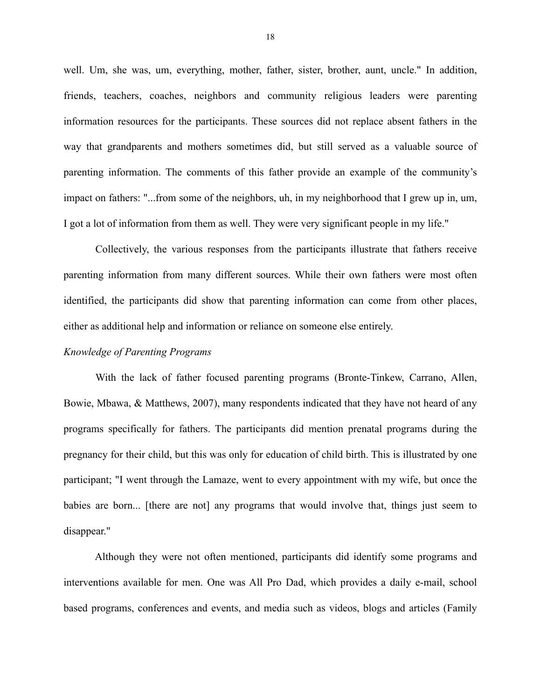well. Um, she was, um, everything, mother, father, sister, brother, aunt, uncle." In addition, friends, teachers, coaches, neighbors and community religious leaders were parenting information resources for the participants. These sources did not replace absent fathers in the way that grandparents and mothers sometimes did, but still served as a valuable source of parenting information. The comments of this father provide an example of the community's impact on fathers: "...from some of the neighbors, uh, in my neighborhood that I grew up in, um, I got a lot of information from them as well. They were very significant people in my life."

 Collectively, the various responses from the participants illustrate that fathers receive parenting information from many different sources. While their own fathers were most often identified, the participants did show that parenting information can come from other places, either as additional help and information or reliance on someone else entirely.

#### *Knowledge of Parenting Programs*

With the lack of father focused parenting programs (Bronte-Tinkew, Carrano, Allen, Bowie, Mbawa, & Matthews, 2007), many respondents indicated that they have not heard of any programs specifically for fathers. The participants did mention prenatal programs during the pregnancy for their child, but this was only for education of child birth. This is illustrated by one participant; "I went through the Lamaze, went to every appointment with my wife, but once the babies are born... [there are not] any programs that would involve that, things just seem to disappear."

 Although they were not often mentioned, participants did identify some programs and interventions available for men. One was All Pro Dad, which provides a daily e-mail, school based programs, conferences and events, and media such as videos, blogs and articles (Family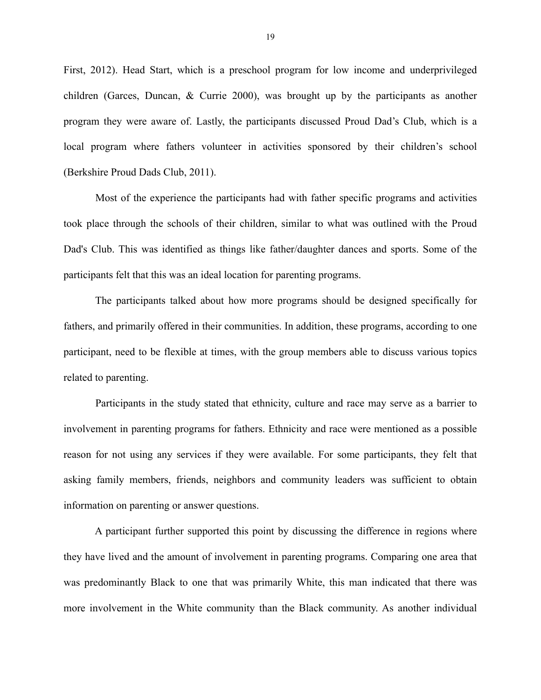First, 2012). Head Start, which is a preschool program for low income and underprivileged children (Garces, Duncan, & Currie 2000), was brought up by the participants as another program they were aware of. Lastly, the participants discussed Proud Dad's Club, which is a local program where fathers volunteer in activities sponsored by their children's school (Berkshire Proud Dads Club, 2011).

 Most of the experience the participants had with father specific programs and activities took place through the schools of their children, similar to what was outlined with the Proud Dad's Club. This was identified as things like father/daughter dances and sports. Some of the participants felt that this was an ideal location for parenting programs.

 The participants talked about how more programs should be designed specifically for fathers, and primarily offered in their communities. In addition, these programs, according to one participant, need to be flexible at times, with the group members able to discuss various topics related to parenting.

 Participants in the study stated that ethnicity, culture and race may serve as a barrier to involvement in parenting programs for fathers. Ethnicity and race were mentioned as a possible reason for not using any services if they were available. For some participants, they felt that asking family members, friends, neighbors and community leaders was sufficient to obtain information on parenting or answer questions.

 A participant further supported this point by discussing the difference in regions where they have lived and the amount of involvement in parenting programs. Comparing one area that was predominantly Black to one that was primarily White, this man indicated that there was more involvement in the White community than the Black community. As another individual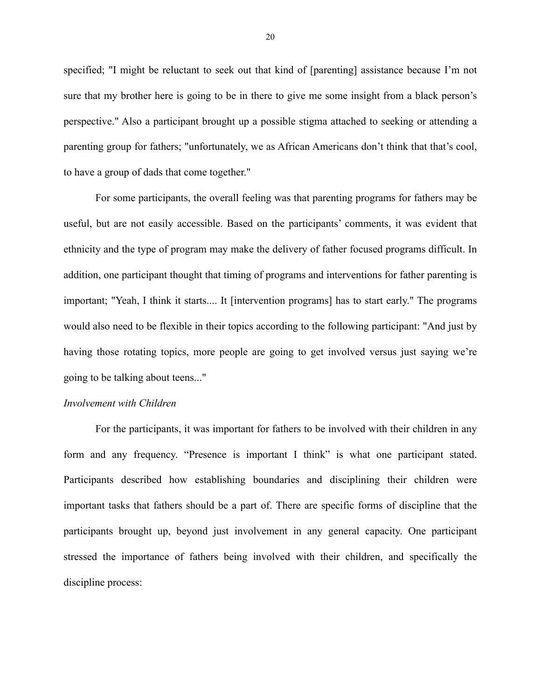specified; "I might be reluctant to seek out that kind of [parenting] assistance because I'm not sure that my brother here is going to be in there to give me some insight from a black person's perspective." Also a participant brought up a possible stigma attached to seeking or attending a parenting group for fathers; "unfortunately, we as African Americans don't think that that's cool, to have a group of dads that come together."

 For some participants, the overall feeling was that parenting programs for fathers may be useful, but are not easily accessible. Based on the participants' comments, it was evident that ethnicity and the type of program may make the delivery of father focused programs difficult. In addition, one participant thought that timing of programs and interventions for father parenting is important; "Yeah, I think it starts.... It [intervention programs] has to start early." The programs would also need to be flexible in their topics according to the following participant: "And just by having those rotating topics, more people are going to get involved versus just saying we're going to be talking about teens..."

#### *Involvement with Children*

For the participants, it was important for fathers to be involved with their children in any form and any frequency. "Presence is important I think" is what one participant stated. Participants described how establishing boundaries and disciplining their children were important tasks that fathers should be a part of. There are specific forms of discipline that the participants brought up, beyond just involvement in any general capacity. One participant stressed the importance of fathers being involved with their children, and specifically the discipline process: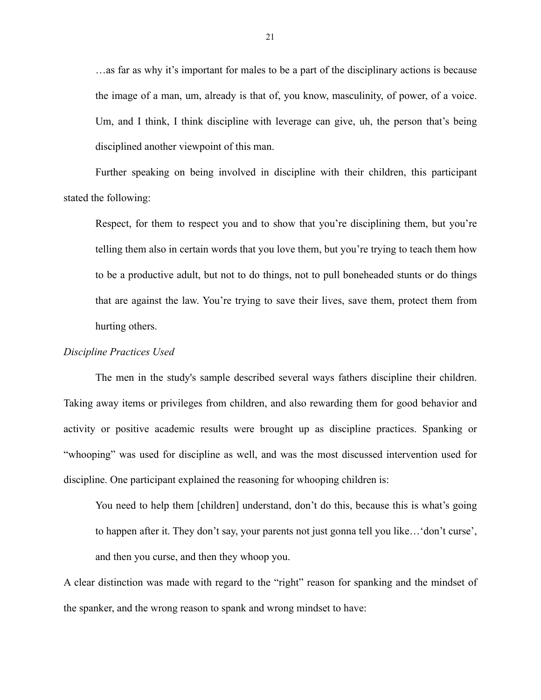…as far as why it's important for males to be a part of the disciplinary actions is because the image of a man, um, already is that of, you know, masculinity, of power, of a voice. Um, and I think, I think discipline with leverage can give, uh, the person that's being disciplined another viewpoint of this man.

Further speaking on being involved in discipline with their children, this participant stated the following:

Respect, for them to respect you and to show that you're disciplining them, but you're telling them also in certain words that you love them, but you're trying to teach them how to be a productive adult, but not to do things, not to pull boneheaded stunts or do things that are against the law. You're trying to save their lives, save them, protect them from hurting others.

#### *Discipline Practices Used*

The men in the study's sample described several ways fathers discipline their children. Taking away items or privileges from children, and also rewarding them for good behavior and activity or positive academic results were brought up as discipline practices. Spanking or "whooping" was used for discipline as well, and was the most discussed intervention used for discipline. One participant explained the reasoning for whooping children is:

You need to help them [children] understand, don't do this, because this is what's going to happen after it. They don't say, your parents not just gonna tell you like…'don't curse', and then you curse, and then they whoop you.

A clear distinction was made with regard to the "right" reason for spanking and the mindset of the spanker, and the wrong reason to spank and wrong mindset to have: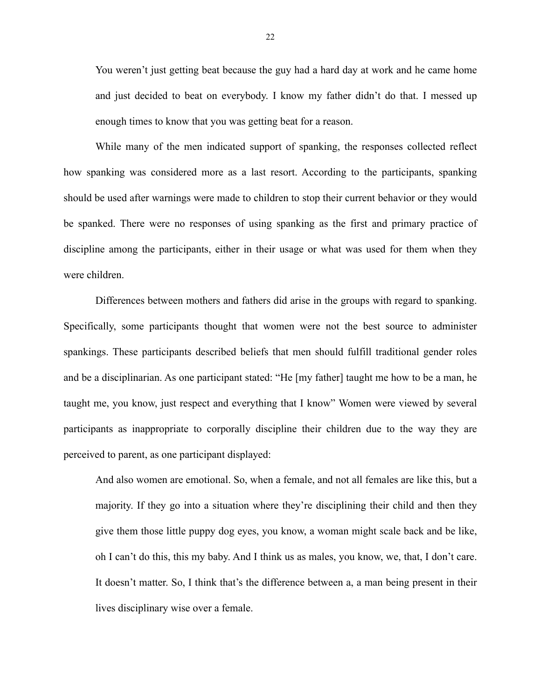You weren't just getting beat because the guy had a hard day at work and he came home and just decided to beat on everybody. I know my father didn't do that. I messed up enough times to know that you was getting beat for a reason.

While many of the men indicated support of spanking, the responses collected reflect how spanking was considered more as a last resort. According to the participants, spanking should be used after warnings were made to children to stop their current behavior or they would be spanked. There were no responses of using spanking as the first and primary practice of discipline among the participants, either in their usage or what was used for them when they were children.

Differences between mothers and fathers did arise in the groups with regard to spanking. Specifically, some participants thought that women were not the best source to administer spankings. These participants described beliefs that men should fulfill traditional gender roles and be a disciplinarian. As one participant stated: "He [my father] taught me how to be a man, he taught me, you know, just respect and everything that I know" Women were viewed by several participants as inappropriate to corporally discipline their children due to the way they are perceived to parent, as one participant displayed:

And also women are emotional. So, when a female, and not all females are like this, but a majority. If they go into a situation where they're disciplining their child and then they give them those little puppy dog eyes, you know, a woman might scale back and be like, oh I can't do this, this my baby. And I think us as males, you know, we, that, I don't care. It doesn't matter. So, I think that's the difference between a, a man being present in their lives disciplinary wise over a female.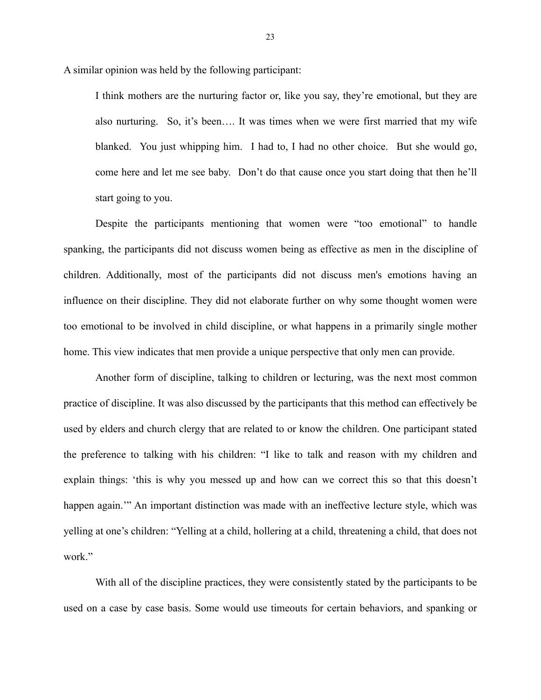A similar opinion was held by the following participant:

I think mothers are the nurturing factor or, like you say, they're emotional, but they are also nurturing. So, it's been…. It was times when we were first married that my wife blanked. You just whipping him. I had to, I had no other choice. But she would go, come here and let me see baby. Don't do that cause once you start doing that then he'll start going to you.

Despite the participants mentioning that women were "too emotional" to handle spanking, the participants did not discuss women being as effective as men in the discipline of children. Additionally, most of the participants did not discuss men's emotions having an influence on their discipline. They did not elaborate further on why some thought women were too emotional to be involved in child discipline, or what happens in a primarily single mother home. This view indicates that men provide a unique perspective that only men can provide.

Another form of discipline, talking to children or lecturing, was the next most common practice of discipline. It was also discussed by the participants that this method can effectively be used by elders and church clergy that are related to or know the children. One participant stated the preference to talking with his children: "I like to talk and reason with my children and explain things: 'this is why you messed up and how can we correct this so that this doesn't happen again."" An important distinction was made with an ineffective lecture style, which was yelling at one's children: "Yelling at a child, hollering at a child, threatening a child, that does not work."

With all of the discipline practices, they were consistently stated by the participants to be used on a case by case basis. Some would use timeouts for certain behaviors, and spanking or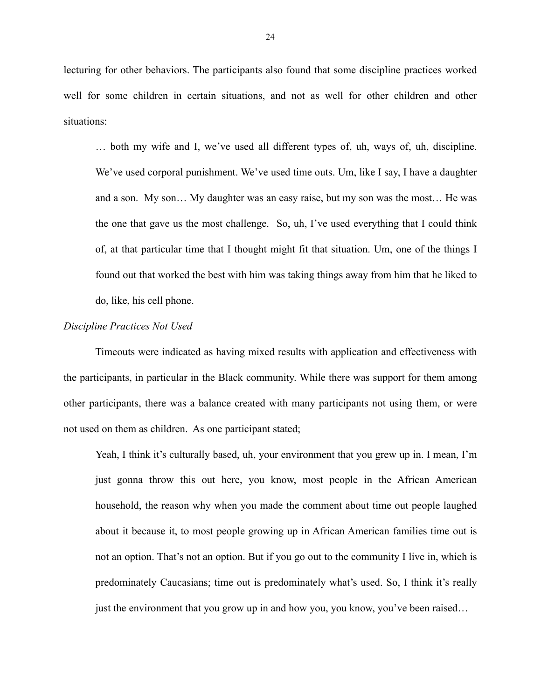lecturing for other behaviors. The participants also found that some discipline practices worked well for some children in certain situations, and not as well for other children and other situations:

… both my wife and I, we've used all different types of, uh, ways of, uh, discipline. We've used corporal punishment. We've used time outs. Um, like I say, I have a daughter and a son. My son… My daughter was an easy raise, but my son was the most… He was the one that gave us the most challenge. So, uh, I've used everything that I could think of, at that particular time that I thought might fit that situation. Um, one of the things I found out that worked the best with him was taking things away from him that he liked to do, like, his cell phone.

#### *Discipline Practices Not Used*

 Timeouts were indicated as having mixed results with application and effectiveness with the participants, in particular in the Black community. While there was support for them among other participants, there was a balance created with many participants not using them, or were not used on them as children. As one participant stated;

Yeah, I think it's culturally based, uh, your environment that you grew up in. I mean, I'm just gonna throw this out here, you know, most people in the African American household, the reason why when you made the comment about time out people laughed about it because it, to most people growing up in African American families time out is not an option. That's not an option. But if you go out to the community I live in, which is predominately Caucasians; time out is predominately what's used. So, I think it's really just the environment that you grow up in and how you, you know, you've been raised...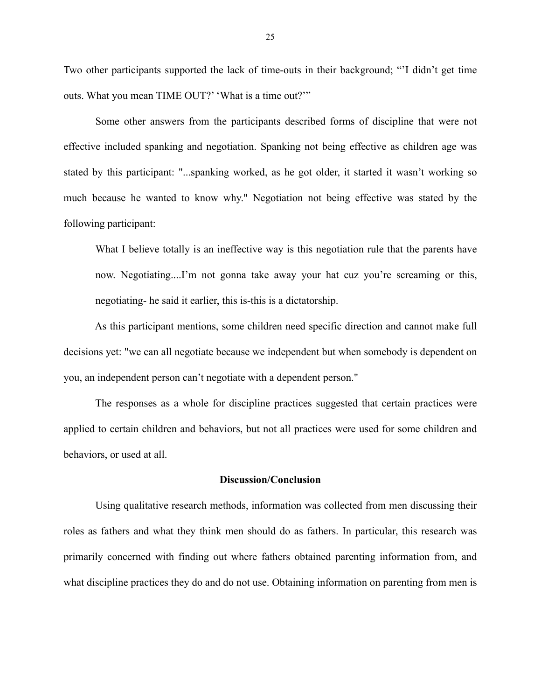Two other participants supported the lack of time-outs in their background; "'I didn't get time outs. What you mean TIME OUT?' 'What is a time out?'"

Some other answers from the participants described forms of discipline that were not effective included spanking and negotiation. Spanking not being effective as children age was stated by this participant: "...spanking worked, as he got older, it started it wasn't working so much because he wanted to know why." Negotiation not being effective was stated by the following participant:

What I believe totally is an ineffective way is this negotiation rule that the parents have now. Negotiating....I'm not gonna take away your hat cuz you're screaming or this, negotiating- he said it earlier, this is-this is a dictatorship.

 As this participant mentions, some children need specific direction and cannot make full decisions yet: "we can all negotiate because we independent but when somebody is dependent on you, an independent person can't negotiate with a dependent person."

 The responses as a whole for discipline practices suggested that certain practices were applied to certain children and behaviors, but not all practices were used for some children and behaviors, or used at all.

#### **Discussion/Conclusion**

Using qualitative research methods, information was collected from men discussing their roles as fathers and what they think men should do as fathers. In particular, this research was primarily concerned with finding out where fathers obtained parenting information from, and what discipline practices they do and do not use. Obtaining information on parenting from men is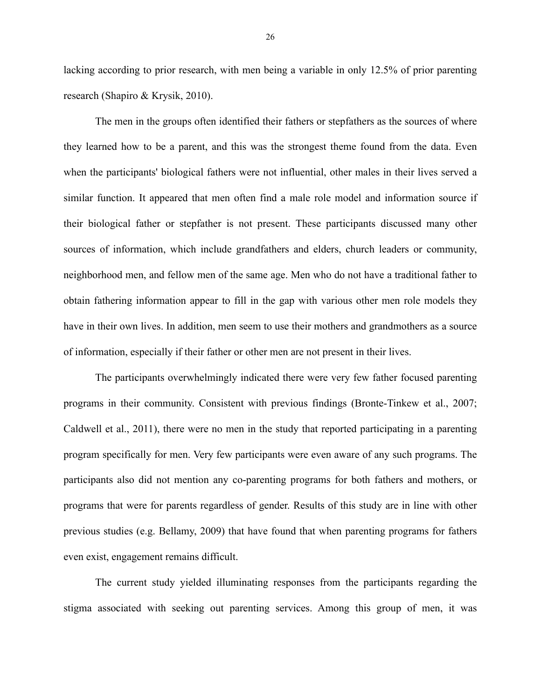lacking according to prior research, with men being a variable in only 12.5% of prior parenting research (Shapiro & Krysik, 2010).

 The men in the groups often identified their fathers or stepfathers as the sources of where they learned how to be a parent, and this was the strongest theme found from the data. Even when the participants' biological fathers were not influential, other males in their lives served a similar function. It appeared that men often find a male role model and information source if their biological father or stepfather is not present. These participants discussed many other sources of information, which include grandfathers and elders, church leaders or community, neighborhood men, and fellow men of the same age. Men who do not have a traditional father to obtain fathering information appear to fill in the gap with various other men role models they have in their own lives. In addition, men seem to use their mothers and grandmothers as a source of information, especially if their father or other men are not present in their lives.

 The participants overwhelmingly indicated there were very few father focused parenting programs in their community. Consistent with previous findings (Bronte-Tinkew et al., 2007; Caldwell et al., 2011), there were no men in the study that reported participating in a parenting program specifically for men. Very few participants were even aware of any such programs. The participants also did not mention any co-parenting programs for both fathers and mothers, or programs that were for parents regardless of gender. Results of this study are in line with other previous studies (e.g. Bellamy, 2009) that have found that when parenting programs for fathers even exist, engagement remains difficult.

 The current study yielded illuminating responses from the participants regarding the stigma associated with seeking out parenting services. Among this group of men, it was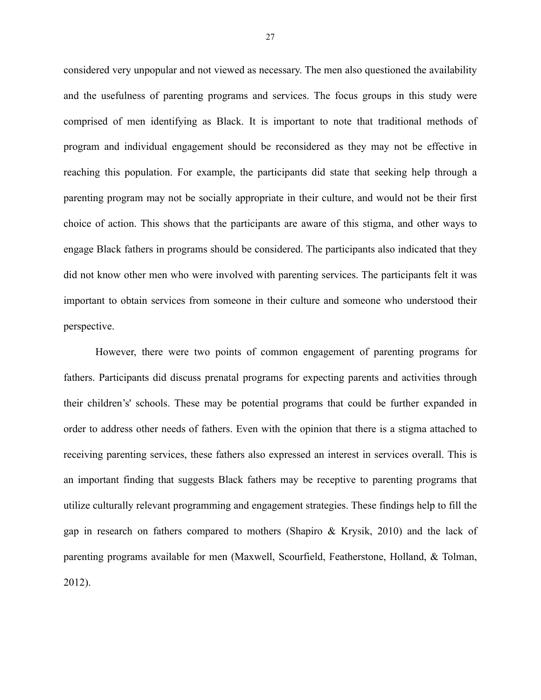considered very unpopular and not viewed as necessary. The men also questioned the availability and the usefulness of parenting programs and services. The focus groups in this study were comprised of men identifying as Black. It is important to note that traditional methods of program and individual engagement should be reconsidered as they may not be effective in reaching this population. For example, the participants did state that seeking help through a parenting program may not be socially appropriate in their culture, and would not be their first choice of action. This shows that the participants are aware of this stigma, and other ways to engage Black fathers in programs should be considered. The participants also indicated that they did not know other men who were involved with parenting services. The participants felt it was important to obtain services from someone in their culture and someone who understood their perspective.

 However, there were two points of common engagement of parenting programs for fathers. Participants did discuss prenatal programs for expecting parents and activities through their children's' schools. These may be potential programs that could be further expanded in order to address other needs of fathers. Even with the opinion that there is a stigma attached to receiving parenting services, these fathers also expressed an interest in services overall. This is an important finding that suggests Black fathers may be receptive to parenting programs that utilize culturally relevant programming and engagement strategies. These findings help to fill the gap in research on fathers compared to mothers (Shapiro & Krysik, 2010) and the lack of parenting programs available for men (Maxwell, Scourfield, Featherstone, Holland, & Tolman, 2012).

27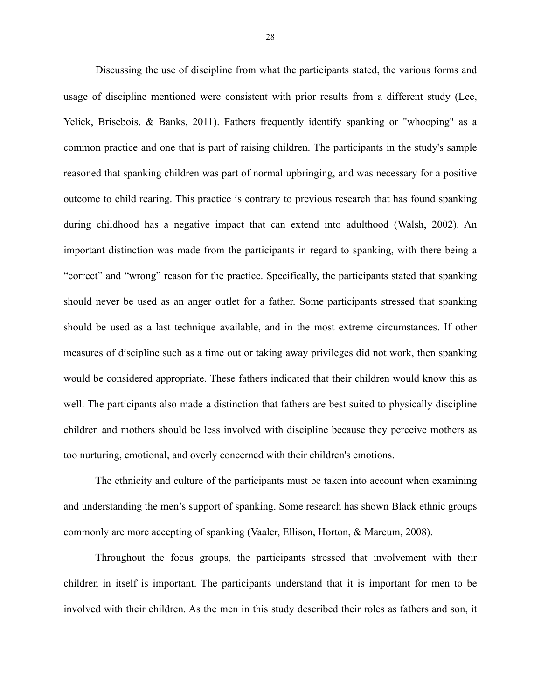Discussing the use of discipline from what the participants stated, the various forms and usage of discipline mentioned were consistent with prior results from a different study (Lee, Yelick, Brisebois, & Banks, 2011). Fathers frequently identify spanking or "whooping" as a common practice and one that is part of raising children. The participants in the study's sample reasoned that spanking children was part of normal upbringing, and was necessary for a positive outcome to child rearing. This practice is contrary to previous research that has found spanking during childhood has a negative impact that can extend into adulthood (Walsh, 2002). An important distinction was made from the participants in regard to spanking, with there being a "correct" and "wrong" reason for the practice. Specifically, the participants stated that spanking should never be used as an anger outlet for a father. Some participants stressed that spanking should be used as a last technique available, and in the most extreme circumstances. If other measures of discipline such as a time out or taking away privileges did not work, then spanking would be considered appropriate. These fathers indicated that their children would know this as well. The participants also made a distinction that fathers are best suited to physically discipline children and mothers should be less involved with discipline because they perceive mothers as too nurturing, emotional, and overly concerned with their children's emotions.

 The ethnicity and culture of the participants must be taken into account when examining and understanding the men's support of spanking. Some research has shown Black ethnic groups commonly are more accepting of spanking (Vaaler, Ellison, Horton, & Marcum, 2008).

 Throughout the focus groups, the participants stressed that involvement with their children in itself is important. The participants understand that it is important for men to be involved with their children. As the men in this study described their roles as fathers and son, it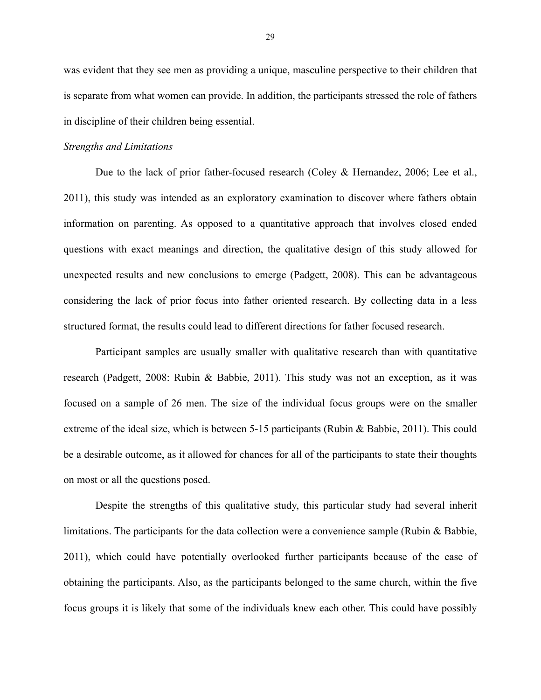was evident that they see men as providing a unique, masculine perspective to their children that is separate from what women can provide. In addition, the participants stressed the role of fathers in discipline of their children being essential.

#### *Strengths and Limitations*

Due to the lack of prior father-focused research (Coley & Hernandez, 2006; Lee et al., 2011), this study was intended as an exploratory examination to discover where fathers obtain information on parenting. As opposed to a quantitative approach that involves closed ended questions with exact meanings and direction, the qualitative design of this study allowed for unexpected results and new conclusions to emerge (Padgett, 2008). This can be advantageous considering the lack of prior focus into father oriented research. By collecting data in a less structured format, the results could lead to different directions for father focused research.

 Participant samples are usually smaller with qualitative research than with quantitative research (Padgett, 2008: Rubin & Babbie, 2011). This study was not an exception, as it was focused on a sample of 26 men. The size of the individual focus groups were on the smaller extreme of the ideal size, which is between 5-15 participants (Rubin & Babbie, 2011). This could be a desirable outcome, as it allowed for chances for all of the participants to state their thoughts on most or all the questions posed.

 Despite the strengths of this qualitative study, this particular study had several inherit limitations. The participants for the data collection were a convenience sample (Rubin & Babbie, 2011), which could have potentially overlooked further participants because of the ease of obtaining the participants. Also, as the participants belonged to the same church, within the five focus groups it is likely that some of the individuals knew each other. This could have possibly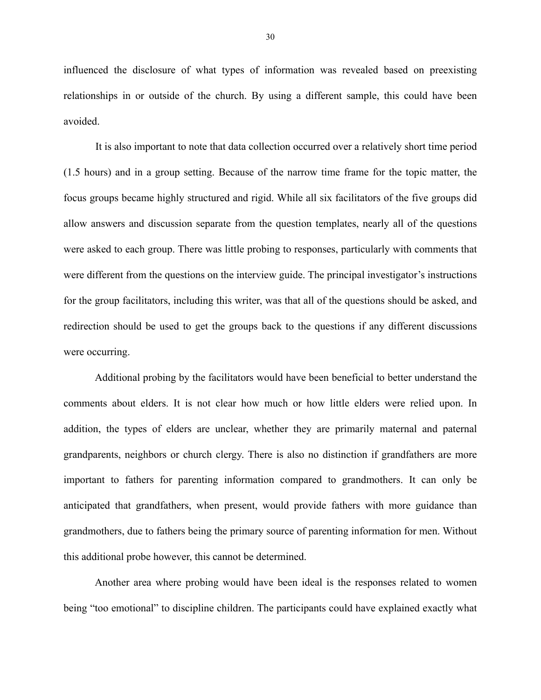influenced the disclosure of what types of information was revealed based on preexisting relationships in or outside of the church. By using a different sample, this could have been avoided.

 It is also important to note that data collection occurred over a relatively short time period (1.5 hours) and in a group setting. Because of the narrow time frame for the topic matter, the focus groups became highly structured and rigid. While all six facilitators of the five groups did allow answers and discussion separate from the question templates, nearly all of the questions were asked to each group. There was little probing to responses, particularly with comments that were different from the questions on the interview guide. The principal investigator's instructions for the group facilitators, including this writer, was that all of the questions should be asked, and redirection should be used to get the groups back to the questions if any different discussions were occurring.

 Additional probing by the facilitators would have been beneficial to better understand the comments about elders. It is not clear how much or how little elders were relied upon. In addition, the types of elders are unclear, whether they are primarily maternal and paternal grandparents, neighbors or church clergy. There is also no distinction if grandfathers are more important to fathers for parenting information compared to grandmothers. It can only be anticipated that grandfathers, when present, would provide fathers with more guidance than grandmothers, due to fathers being the primary source of parenting information for men. Without this additional probe however, this cannot be determined.

 Another area where probing would have been ideal is the responses related to women being "too emotional" to discipline children. The participants could have explained exactly what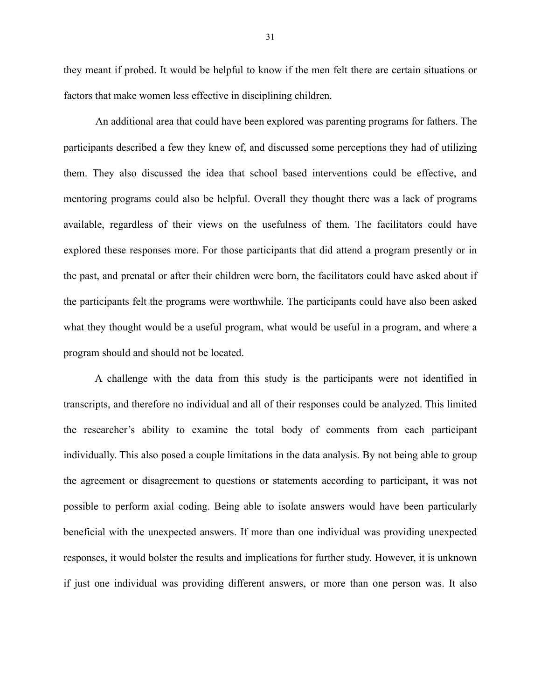they meant if probed. It would be helpful to know if the men felt there are certain situations or factors that make women less effective in disciplining children.

An additional area that could have been explored was parenting programs for fathers. The participants described a few they knew of, and discussed some perceptions they had of utilizing them. They also discussed the idea that school based interventions could be effective, and mentoring programs could also be helpful. Overall they thought there was a lack of programs available, regardless of their views on the usefulness of them. The facilitators could have explored these responses more. For those participants that did attend a program presently or in the past, and prenatal or after their children were born, the facilitators could have asked about if the participants felt the programs were worthwhile. The participants could have also been asked what they thought would be a useful program, what would be useful in a program, and where a program should and should not be located.

 A challenge with the data from this study is the participants were not identified in transcripts, and therefore no individual and all of their responses could be analyzed. This limited the researcher's ability to examine the total body of comments from each participant individually. This also posed a couple limitations in the data analysis. By not being able to group the agreement or disagreement to questions or statements according to participant, it was not possible to perform axial coding. Being able to isolate answers would have been particularly beneficial with the unexpected answers. If more than one individual was providing unexpected responses, it would bolster the results and implications for further study. However, it is unknown if just one individual was providing different answers, or more than one person was. It also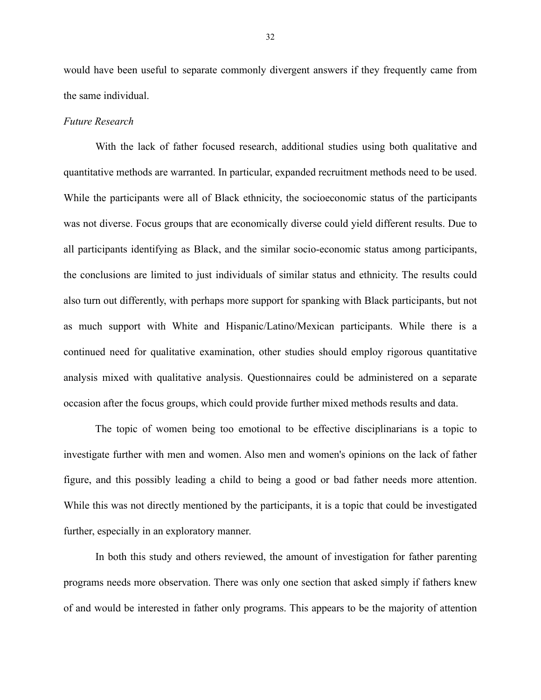would have been useful to separate commonly divergent answers if they frequently came from the same individual.

#### *Future Research*

With the lack of father focused research, additional studies using both qualitative and quantitative methods are warranted. In particular, expanded recruitment methods need to be used. While the participants were all of Black ethnicity, the socioeconomic status of the participants was not diverse. Focus groups that are economically diverse could yield different results. Due to all participants identifying as Black, and the similar socio-economic status among participants, the conclusions are limited to just individuals of similar status and ethnicity. The results could also turn out differently, with perhaps more support for spanking with Black participants, but not as much support with White and Hispanic/Latino/Mexican participants. While there is a continued need for qualitative examination, other studies should employ rigorous quantitative analysis mixed with qualitative analysis. Questionnaires could be administered on a separate occasion after the focus groups, which could provide further mixed methods results and data.

 The topic of women being too emotional to be effective disciplinarians is a topic to investigate further with men and women. Also men and women's opinions on the lack of father figure, and this possibly leading a child to being a good or bad father needs more attention. While this was not directly mentioned by the participants, it is a topic that could be investigated further, especially in an exploratory manner.

 In both this study and others reviewed, the amount of investigation for father parenting programs needs more observation. There was only one section that asked simply if fathers knew of and would be interested in father only programs. This appears to be the majority of attention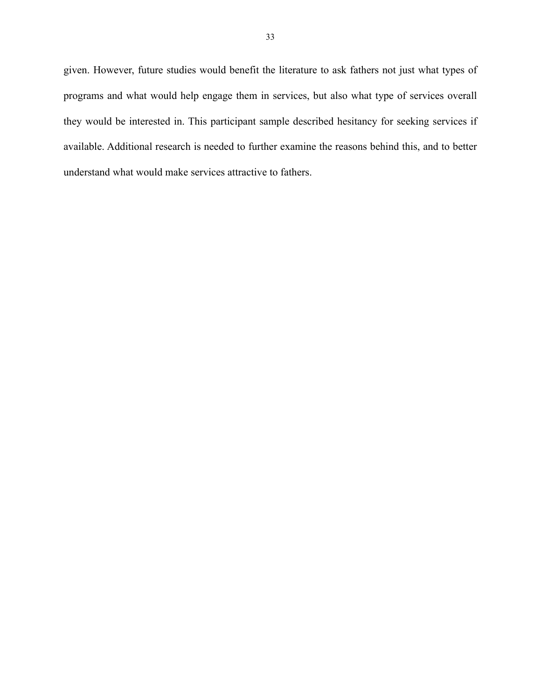given. However, future studies would benefit the literature to ask fathers not just what types of programs and what would help engage them in services, but also what type of services overall they would be interested in. This participant sample described hesitancy for seeking services if available. Additional research is needed to further examine the reasons behind this, and to better understand what would make services attractive to fathers.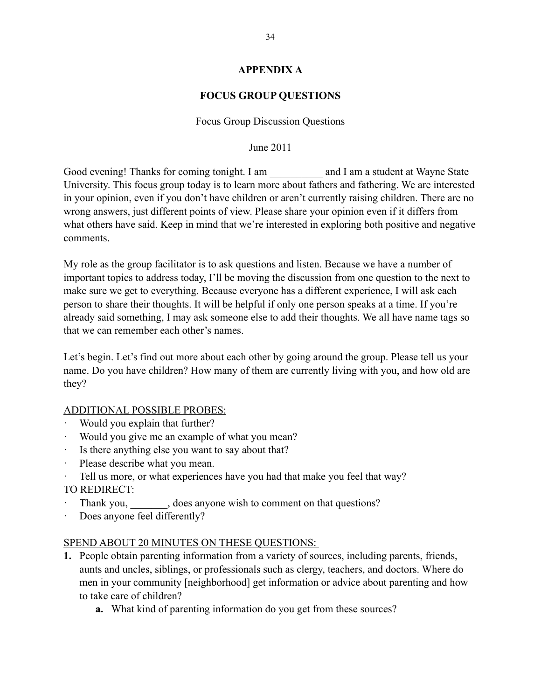### **APPENDIX A**

### **FOCUS GROUP QUESTIONS**

### Focus Group Discussion Questions

#### June 2011

Good evening! Thanks for coming tonight. I am \_\_\_\_\_\_\_\_\_\_ and I am a student at Wayne State University. This focus group today is to learn more about fathers and fathering. We are interested in your opinion, even if you don't have children or aren't currently raising children. There are no wrong answers, just different points of view. Please share your opinion even if it differs from what others have said. Keep in mind that we're interested in exploring both positive and negative comments.

My role as the group facilitator is to ask questions and listen. Because we have a number of important topics to address today, I'll be moving the discussion from one question to the next to make sure we get to everything. Because everyone has a different experience, I will ask each person to share their thoughts. It will be helpful if only one person speaks at a time. If you're already said something, I may ask someone else to add their thoughts. We all have name tags so that we can remember each other's names.

Let's begin. Let's find out more about each other by going around the group. Please tell us your name. Do you have children? How many of them are currently living with you, and how old are they?

### ADDITIONAL POSSIBLE PROBES:

- Would you explain that further?
- · Would you give me an example of what you mean?
- Is there anything else you want to say about that?
- Please describe what you mean.
- Tell us more, or what experiences have you had that make you feel that way?

### TO REDIRECT:

- Thank you, does anyone wish to comment on that questions?
- · Does anyone feel differently?

### SPEND ABOUT 20 MINUTES ON THESE QUESTIONS:

- **1.** People obtain parenting information from a variety of sources, including parents, friends, aunts and uncles, siblings, or professionals such as clergy, teachers, and doctors. Where do men in your community [neighborhood] get information or advice about parenting and how to take care of children?
	- **a.** What kind of parenting information do you get from these sources?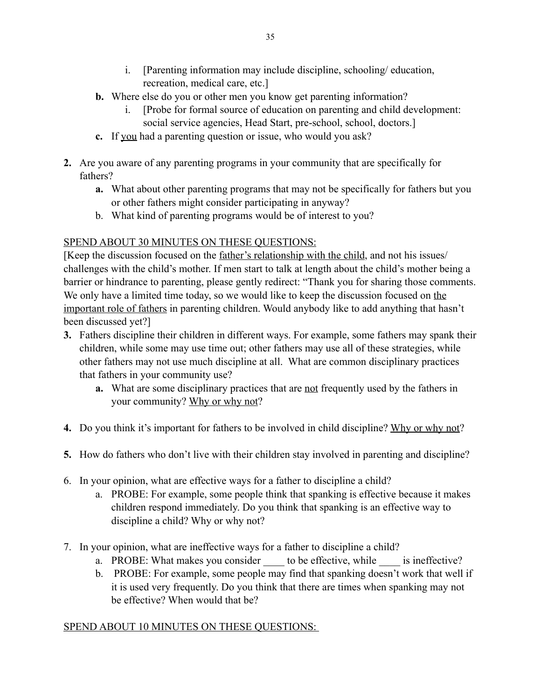- i. [Parenting information may include discipline, schooling/ education, recreation, medical care, etc.]
- **b.** Where else do you or other men you know get parenting information?
	- i. [Probe for formal source of education on parenting and child development: social service agencies, Head Start, pre-school, school, doctors.]
- **c.** If you had a parenting question or issue, who would you ask?
- **2.** Are you aware of any parenting programs in your community that are specifically for fathers?
	- **a.** What about other parenting programs that may not be specifically for fathers but you or other fathers might consider participating in anyway?
	- b. What kind of parenting programs would be of interest to you?

# SPEND ABOUT 30 MINUTES ON THESE QUESTIONS:

[Keep the discussion focused on the father's relationship with the child, and not his issues/ challenges with the child's mother. If men start to talk at length about the child's mother being a barrier or hindrance to parenting, please gently redirect: "Thank you for sharing those comments. We only have a limited time today, so we would like to keep the discussion focused on the important role of fathers in parenting children. Would anybody like to add anything that hasn't been discussed yet?]

- **3.** Fathers discipline their children in different ways. For example, some fathers may spank their children, while some may use time out; other fathers may use all of these strategies, while other fathers may not use much discipline at all. What are common disciplinary practices that fathers in your community use?
	- **a.** What are some disciplinary practices that are <u>not</u> frequently used by the fathers in your community? Why or why not?
- **4.** Do you think it's important for fathers to be involved in child discipline? Why or why not?
- **5.** How do fathers who don't live with their children stay involved in parenting and discipline?
- 6. In your opinion, what are effective ways for a father to discipline a child?
	- a. PROBE: For example, some people think that spanking is effective because it makes children respond immediately. Do you think that spanking is an effective way to discipline a child? Why or why not?
- 7. In your opinion, what are ineffective ways for a father to discipline a child?
	- a. PROBE: What makes you consider to be effective, while is ineffective?
	- b. PROBE: For example, some people may find that spanking doesn't work that well if it is used very frequently. Do you think that there are times when spanking may not be effective? When would that be?

## SPEND ABOUT 10 MINUTES ON THESE QUESTIONS: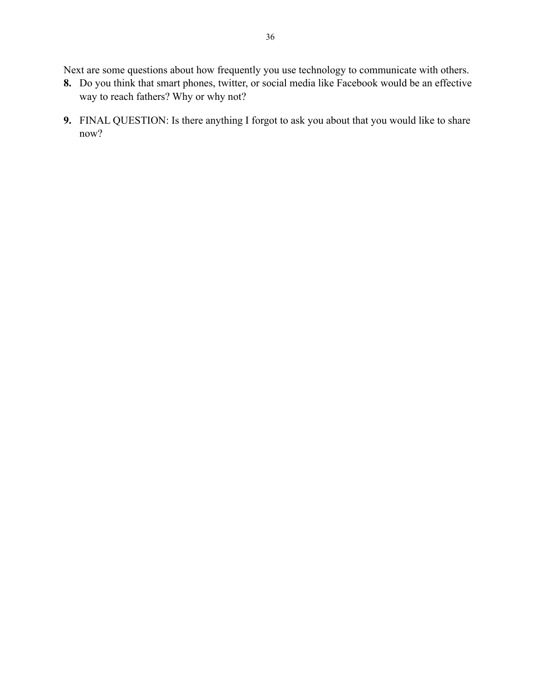Next are some questions about how frequently you use technology to communicate with others.

- **8.** Do you think that smart phones, twitter, or social media like Facebook would be an effective way to reach fathers? Why or why not?
- **9.** FINAL QUESTION: Is there anything I forgot to ask you about that you would like to share now?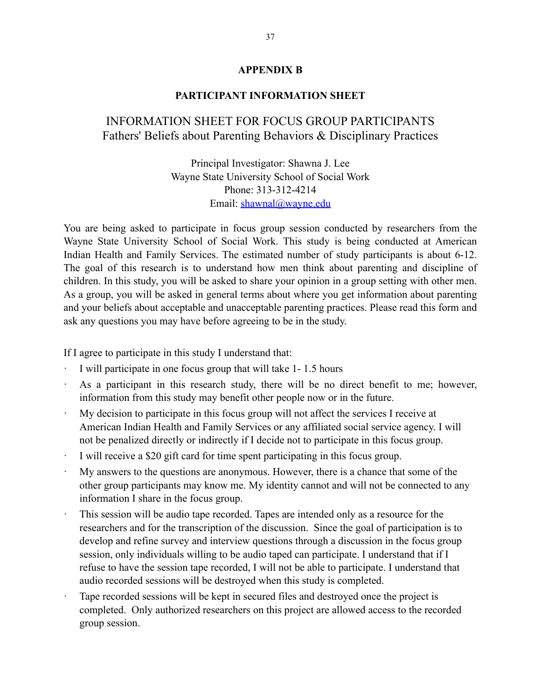#### **APPENDIX B**

#### **PARTICIPANT INFORMATION SHEET**

# INFORMATION SHEET FOR FOCUS GROUP PARTICIPANTS Fathers' Beliefs about Parenting Behaviors & Disciplinary Practices

Principal Investigator: Shawna J. Lee Wayne State University School of Social Work Phone: 313-312-4214 Email: [shawnal@wayne.edu](mailto:shawnal@wayne.edu)

You are being asked to participate in focus group session conducted by researchers from the Wayne State University School of Social Work. This study is being conducted at American Indian Health and Family Services. The estimated number of study participants is about 6-12. The goal of this research is to understand how men think about parenting and discipline of children. In this study, you will be asked to share your opinion in a group setting with other men. As a group, you will be asked in general terms about where you get information about parenting and your beliefs about acceptable and unacceptable parenting practices. Please read this form and ask any questions you may have before agreeing to be in the study.

If I agree to participate in this study I understand that:

- I will participate in one focus group that will take 1-1.5 hours
- As a participant in this research study, there will be no direct benefit to me; however, information from this study may benefit other people now or in the future.
- · My decision to participate in this focus group will not affect the services I receive at American Indian Health and Family Services or any affiliated social service agency. I will not be penalized directly or indirectly if I decide not to participate in this focus group.
- I will receive a \$20 gift card for time spent participating in this focus group.
- My answers to the questions are anonymous. However, there is a chance that some of the other group participants may know me. My identity cannot and will not be connected to any information I share in the focus group.
- This session will be audio tape recorded. Tapes are intended only as a resource for the researchers and for the transcription of the discussion. Since the goal of participation is to develop and refine survey and interview questions through a discussion in the focus group session, only individuals willing to be audio taped can participate. I understand that if I refuse to have the session tape recorded, I will not be able to participate. I understand that audio recorded sessions will be destroyed when this study is completed.
- Tape recorded sessions will be kept in secured files and destroyed once the project is completed. Only authorized researchers on this project are allowed access to the recorded group session.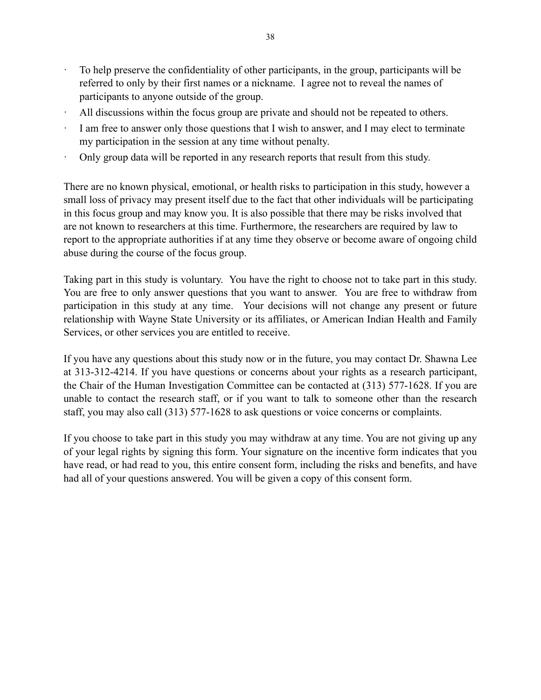- · To help preserve the confidentiality of other participants, in the group, participants will be referred to only by their first names or a nickname. I agree not to reveal the names of participants to anyone outside of the group.
- All discussions within the focus group are private and should not be repeated to others.
- I am free to answer only those questions that I wish to answer, and I may elect to terminate my participation in the session at any time without penalty.
- · Only group data will be reported in any research reports that result from this study.

There are no known physical, emotional, or health risks to participation in this study, however a small loss of privacy may present itself due to the fact that other individuals will be participating in this focus group and may know you. It is also possible that there may be risks involved that are not known to researchers at this time. Furthermore, the researchers are required by law to report to the appropriate authorities if at any time they observe or become aware of ongoing child abuse during the course of the focus group.

Taking part in this study is voluntary. You have the right to choose not to take part in this study. You are free to only answer questions that you want to answer. You are free to withdraw from participation in this study at any time. Your decisions will not change any present or future relationship with Wayne State University or its affiliates, or American Indian Health and Family Services, or other services you are entitled to receive.

If you have any questions about this study now or in the future, you may contact Dr. Shawna Lee at 313-312-4214. If you have questions or concerns about your rights as a research participant, the Chair of the Human Investigation Committee can be contacted at (313) 577-1628. If you are unable to contact the research staff, or if you want to talk to someone other than the research staff, you may also call (313) 577-1628 to ask questions or voice concerns or complaints.

If you choose to take part in this study you may withdraw at any time. You are not giving up any of your legal rights by signing this form. Your signature on the incentive form indicates that you have read, or had read to you, this entire consent form, including the risks and benefits, and have had all of your questions answered. You will be given a copy of this consent form.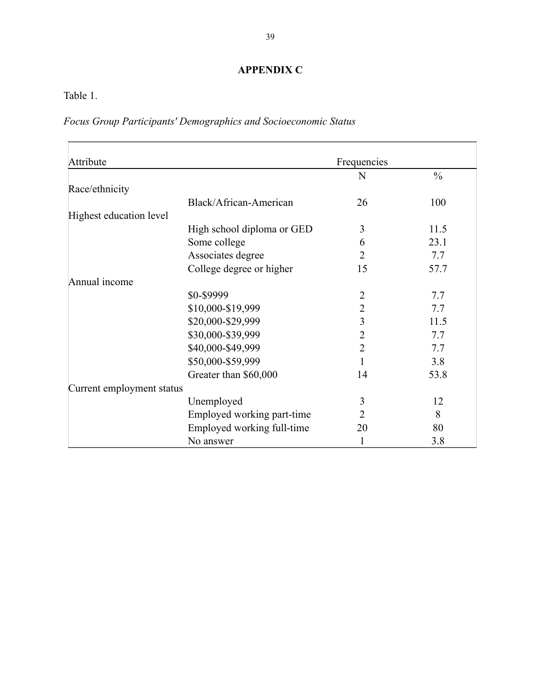# **APPENDIX C**

Table 1.

*Focus Group Participants' Demographics and Socioeconomic Status*

| Attribute                 |                            | Frequencies    |               |
|---------------------------|----------------------------|----------------|---------------|
|                           |                            | N              | $\frac{0}{0}$ |
| Race/ethnicity            |                            |                |               |
|                           | Black/African-American     | 26             | 100           |
| Highest education level   |                            |                |               |
|                           | High school diploma or GED | 3              | 11.5          |
|                           | Some college               | 6              | 23.1          |
|                           | Associates degree          | $\overline{2}$ | 7.7           |
|                           | College degree or higher   | 15             | 57.7          |
| Annual income             |                            |                |               |
|                           | \$0-\$9999                 | 2              | 7.7           |
|                           | \$10,000-\$19,999          | $\overline{2}$ | 7.7           |
|                           | \$20,000-\$29,999          | 3              | 11.5          |
|                           | \$30,000-\$39,999          | $\overline{2}$ | 7.7           |
|                           | \$40,000-\$49,999          | $\overline{2}$ | 7.7           |
|                           | \$50,000-\$59,999          |                | 3.8           |
|                           | Greater than \$60,000      | 14             | 53.8          |
| Current employment status |                            |                |               |
|                           | Unemployed                 | 3              | 12            |
|                           | Employed working part-time | 2              | 8             |
|                           | Employed working full-time | 20             | 80            |
|                           | No answer                  |                | 3.8           |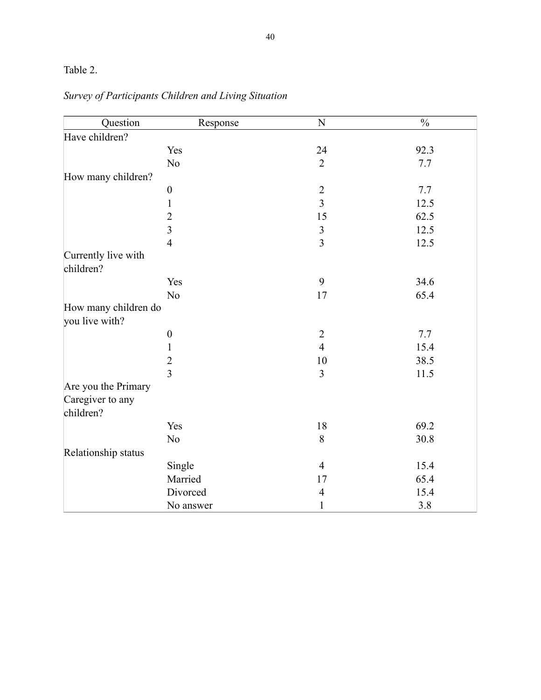# Table 2.

| Question                               | Response         | N              | $\frac{0}{0}$ |
|----------------------------------------|------------------|----------------|---------------|
| Have children?                         |                  |                |               |
|                                        | Yes              | 24             | 92.3          |
|                                        | N <sub>o</sub>   | $\overline{2}$ | 7.7           |
| How many children?                     |                  |                |               |
|                                        | $\boldsymbol{0}$ | $\overline{c}$ | 7.7           |
|                                        | $\mathbf{1}$     | $\overline{3}$ | 12.5          |
|                                        | $\overline{2}$   | 15             | 62.5          |
|                                        | $\overline{3}$   | $\mathfrak{Z}$ | 12.5          |
|                                        | $\overline{4}$   | $\overline{3}$ | 12.5          |
| Currently live with<br>children?       |                  |                |               |
|                                        | Yes              | 9              | 34.6          |
|                                        | N <sub>o</sub>   | 17             | 65.4          |
| How many children do<br>you live with? |                  |                |               |
|                                        | $\boldsymbol{0}$ | $\overline{2}$ | 7.7           |
|                                        | $\mathbf{1}$     | $\overline{4}$ | 15.4          |
|                                        | $\overline{c}$   | 10             | 38.5          |
|                                        | $\overline{3}$   | 3              | 11.5          |
| Are you the Primary                    |                  |                |               |
| Caregiver to any<br>children?          |                  |                |               |
|                                        | Yes              | 18             | 69.2          |
|                                        | N <sub>o</sub>   | $8\,$          | 30.8          |
| Relationship status                    |                  |                |               |
|                                        | Single           | $\overline{4}$ | 15.4          |
|                                        | Married          | 17             | 65.4          |
|                                        | Divorced         | $\overline{4}$ | 15.4          |
|                                        | No answer        | $\mathbf{1}$   | 3.8           |

# *Survey of Participants Children and Living Situation*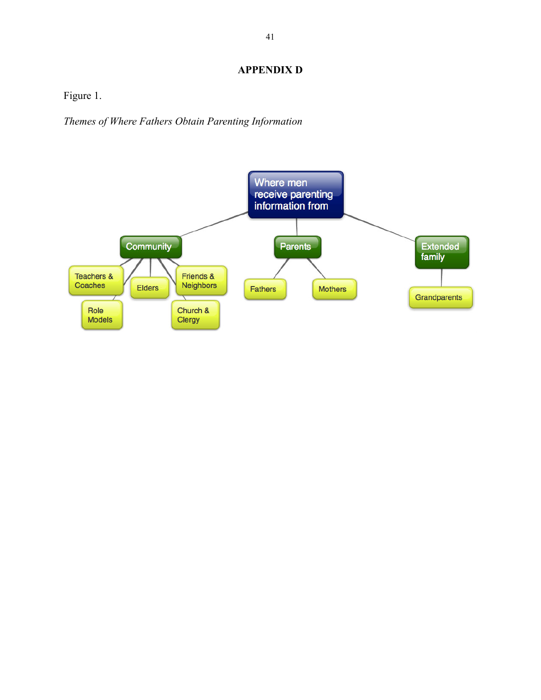# **APPENDIX D**

Figure 1.

*Themes of Where Fathers Obtain Parenting Information*

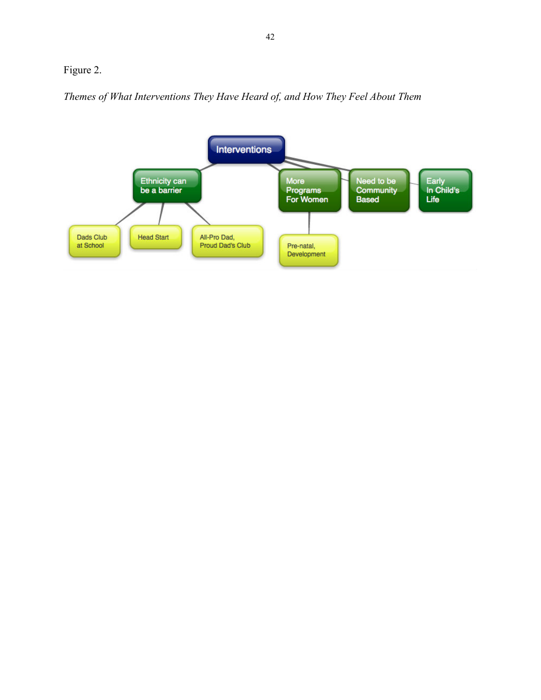# Figure 2.

*Themes of What Interventions They Have Heard of, and How They Feel About Them*

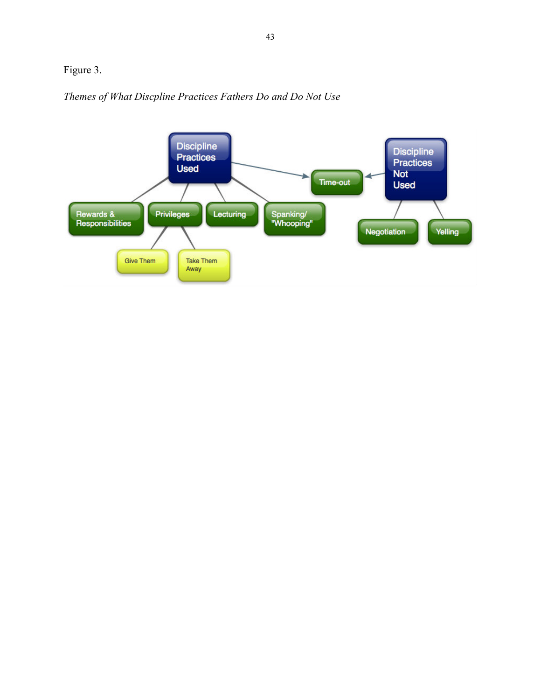# Figure 3.



*Themes of What Discpline Practices Fathers Do and Do Not Use*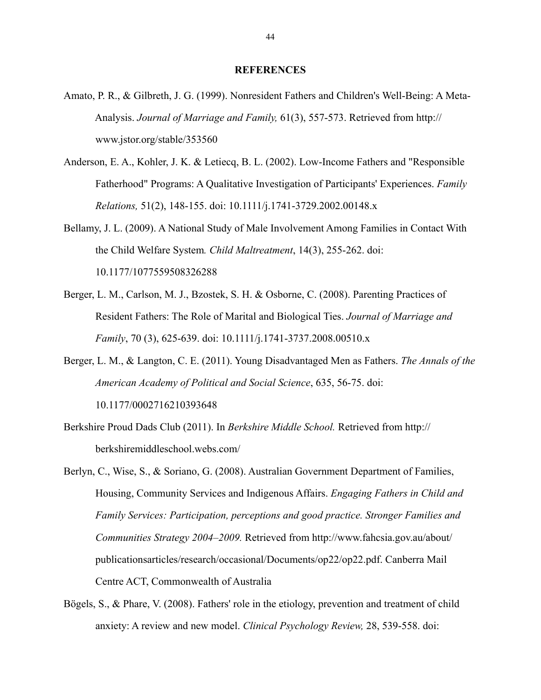#### **REFERENCES**

- Amato, P. R., & Gilbreth, J. G. (1999). Nonresident Fathers and Children's Well-Being: A Meta- Analysis. *Journal of Marriage and Family,* 61(3), 557-573. Retrieved from http:// www.jstor.org/stable/353560
- Anderson, E. A., Kohler, J. K. & Letiecq, B. L. (2002). Low-Income Fathers and "Responsible Fatherhood" Programs: A Qualitative Investigation of Participants' Experiences. *Family Relations,* 51(2), 148-155. doi: 10.1111/j.1741-3729.2002.00148.x
- Bellamy, J. L. (2009). A National Study of Male Involvement Among Families in Contact With the Child Welfare System*. Child Maltreatment*, 14(3), 255-262. doi: 10.1177/1077559508326288
- Berger, L. M., Carlson, M. J., Bzostek, S. H. & Osborne, C. (2008). Parenting Practices of Resident Fathers: The Role of Marital and Biological Ties. *Journal of Marriage and Family*, 70 (3), 625-639. doi: 10.1111/j.1741-3737.2008.00510.x
- Berger, L. M., & Langton, C. E. (2011). Young Disadvantaged Men as Fathers. *The Annals of the American Academy of Political and Social Science*, 635, 56-75. doi: 10.1177/0002716210393648
- Berkshire Proud Dads Club (2011). In *Berkshire Middle School.* Retrieved from http:// berkshiremiddleschool.webs.com/
- Berlyn, C., Wise, S., & Soriano, G. (2008). Australian Government Department of Families, Housing, Community Services and Indigenous Affairs. *Engaging Fathers in Child and Family Services: Participation, perceptions and good practice. Stronger Families and Communities Strategy 2004–2009.* Retrieved from http://www.fahcsia.gov.au/about/ publicationsarticles/research/occasional/Documents/op22/op22.pdf. Canberra Mail Centre ACT, Commonwealth of Australia
- Bögels, S., & Phare, V. (2008). Fathers' role in the etiology, prevention and treatment of child anxiety: A review and new model. *Clinical Psychology Review,* 28, 539-558. doi: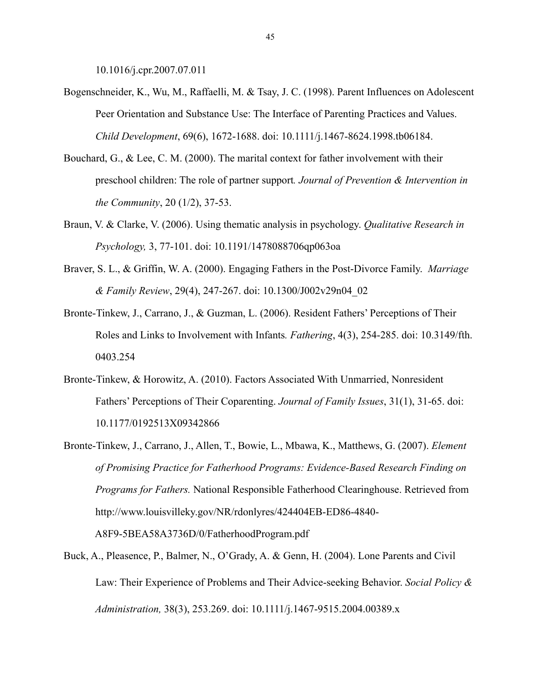10.1016/j.cpr.2007.07.011

- Bogenschneider, K., Wu, M., Raffaelli, M. & Tsay, J. C. (1998). Parent Influences on Adolescent Peer Orientation and Substance Use: The Interface of Parenting Practices and Values. *Child Development*, 69(6), 1672-1688. doi: 10.1111/j.1467-8624.1998.tb06184.
- Bouchard, G., & Lee, C. M. (2000). The marital context for father involvement with their preschool children: The role of partner support*. Journal of Prevention & Intervention in the Community*, 20 (1/2), 37-53.
- Braun, V. & Clarke, V. (2006). Using thematic analysis in psychology. *Qualitative Research in Psychology,* 3, 77-101. doi: 10.1191/1478088706qp063oa
- Braver, S. L., & Griffin, W. A. (2000). Engaging Fathers in the Post-Divorce Family. *Marriage & Family Review*, 29(4), 247-267. doi: 10.1300/J002v29n04\_02
- Bronte-Tinkew, J., Carrano, J., & Guzman, L. (2006). Resident Fathers' Perceptions of Their Roles and Links to Involvement with Infants*. Fathering*, 4(3), 254-285. doi: 10.3149/fth. 0403.254
- Bronte-Tinkew, & Horowitz, A. (2010). Factors Associated With Unmarried, Nonresident Fathers' Perceptions of Their Coparenting. *Journal of Family Issues*, 31(1), 31-65. doi: 10.1177/0192513X09342866
- Bronte-Tinkew, J., Carrano, J., Allen, T., Bowie, L., Mbawa, K., Matthews, G. (2007). *Element of Promising Practice for Fatherhood Programs: Evidence-Based Research Finding on Programs for Fathers.* National Responsible Fatherhood Clearinghouse. Retrieved from http://www.louisvilleky.gov/NR/rdonlyres/424404EB-ED86-4840-

A8F9-5BEA58A3736D/0/FatherhoodProgram.pdf

Buck, A., Pleasence, P., Balmer, N., O'Grady, A. & Genn, H. (2004). Lone Parents and Civil Law: Their Experience of Problems and Their Advice-seeking Behavior. *Social Policy & Administration,* 38(3), 253.269. doi: 10.1111/j.1467-9515.2004.00389.x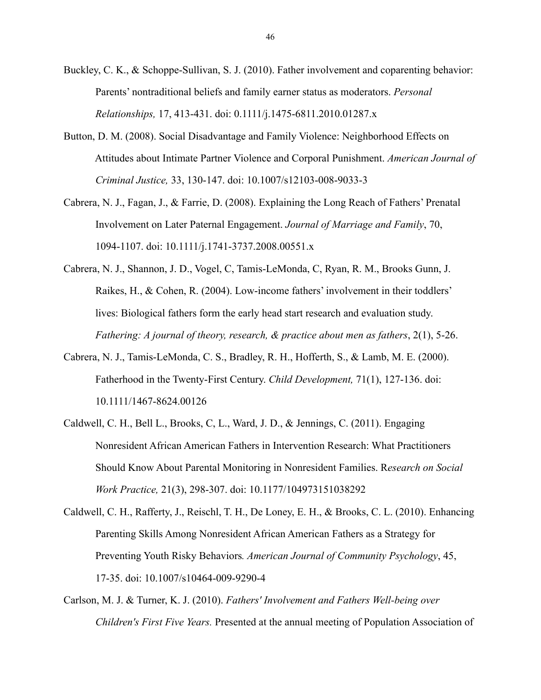- Buckley, C. K., & Schoppe-Sullivan, S. J. (2010). Father involvement and coparenting behavior: Parents' nontraditional beliefs and family earner status as moderators. *Personal Relationships,* 17, 413-431. doi: 0.1111/j.1475-6811.2010.01287.x
- Button, D. M. (2008). Social Disadvantage and Family Violence: Neighborhood Effects on Attitudes about Intimate Partner Violence and Corporal Punishment. *American Journal of Criminal Justice,* 33, 130-147. doi: 10.1007/s12103-008-9033-3
- Cabrera, N. J., Fagan, J., & Farrie, D. (2008). Explaining the Long Reach of Fathers' Prenatal Involvement on Later Paternal Engagement. *Journal of Marriage and Family*, 70, 1094-1107. doi: 10.1111/j.1741-3737.2008.00551.x
- Cabrera, N. J., Shannon, J. D., Vogel, C, Tamis-LeMonda, C, Ryan, R. M., Brooks Gunn, J. Raikes, H., & Cohen, R. (2004). Low-income fathers' involvement in their toddlers' lives: Biological fathers form the early head start research and evaluation study. *Fathering: A journal of theory, research, & practice about men as fathers*, 2(1), 5-26.
- Cabrera, N. J., Tamis-LeMonda, C. S., Bradley, R. H., Hofferth, S., & Lamb, M. E. (2000). Fatherhood in the Twenty-First Century. *Child Development,* 71(1), 127-136. doi: 10.1111/1467-8624.00126
- Caldwell, C. H., Bell L., Brooks, C, L., Ward, J. D., & Jennings, C. (2011). Engaging Nonresident African American Fathers in Intervention Research: What Practitioners Should Know About Parental Monitoring in Nonresident Families. R*esearch on Social Work Practice,* 21(3), 298-307. doi: 10.1177/104973151038292
- Caldwell, C. H., Rafferty, J., Reischl, T. H., De Loney, E. H., & Brooks, C. L. (2010). Enhancing Parenting Skills Among Nonresident African American Fathers as a Strategy for Preventing Youth Risky Behaviors*. American Journal of Community Psychology*, 45, 17-35. doi: 10.1007/s10464-009-9290-4
- Carlson, M. J. & Turner, K. J. (2010). *Fathers' Involvement and Fathers Well-being over Children's First Five Years.* Presented at the annual meeting of Population Association of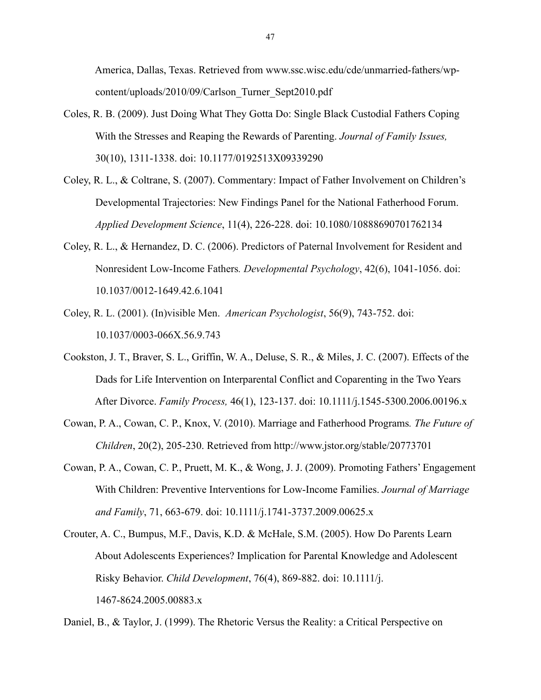America, Dallas, Texas. Retrieved from www.ssc.wisc.edu/cde/unmarried-fathers/wp content/uploads/2010/09/Carlson\_Turner\_Sept2010.pdf

- Coles, R. B. (2009). Just Doing What They Gotta Do: Single Black Custodial Fathers Coping With the Stresses and Reaping the Rewards of Parenting. *Journal of Family Issues,*  30(10), 1311-1338. doi: 10.1177/0192513X09339290
- Coley, R. L., & Coltrane, S. (2007). Commentary: Impact of Father Involvement on Children's Developmental Trajectories: New Findings Panel for the National Fatherhood Forum. *Applied Development Science*, 11(4), 226-228. doi: 10.1080/10888690701762134
- Coley, R. L., & Hernandez, D. C. (2006). Predictors of Paternal Involvement for Resident and Nonresident Low-Income Fathers*. Developmental Psychology*, 42(6), 1041-1056. doi: 10.1037/0012-1649.42.6.1041
- Coley, R. L. (2001). (In)visible Men. *American Psychologist*, 56(9), 743-752. doi: 10.1037/0003-066X.56.9.743
- Cookston, J. T., Braver, S. L., Griffin, W. A., Deluse, S. R., & Miles, J. C. (2007). Effects of the Dads for Life Intervention on Interparental Conflict and Coparenting in the Two Years After Divorce. *Family Process,* 46(1), 123-137. doi: 10.1111/j.1545-5300.2006.00196.x
- Cowan, P. A., Cowan, C. P., Knox, V. (2010). Marriage and Fatherhood Programs*. The Future of Children*, 20(2), 205-230. Retrieved from http://www.jstor.org/stable/20773701
- Cowan, P. A., Cowan, C. P., Pruett, M. K., & Wong, J. J. (2009). Promoting Fathers' Engagement With Children: Preventive Interventions for Low-Income Families. *Journal of Marriage and Family*, 71, 663-679. doi: 10.1111/j.1741-3737.2009.00625.x
- Crouter, A. C., Bumpus, M.F., Davis, K.D. & McHale, S.M. (2005). How Do Parents Learn About Adolescents Experiences? Implication for Parental Knowledge and Adolescent Risky Behavior. *Child Development*, 76(4), 869-882. doi: 10.1111/j. 1467-8624.2005.00883.x

Daniel, B., & Taylor, J. (1999). The Rhetoric Versus the Reality: a Critical Perspective on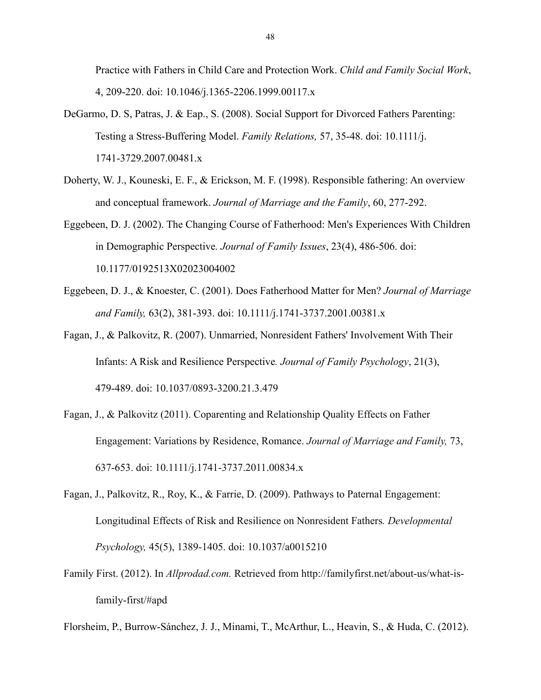Practice with Fathers in Child Care and Protection Work. *Child and Family Social Work*, 4, 209-220. doi: 10.1046/j.1365-2206.1999.00117.x

- DeGarmo, D. S, Patras, J. & Eap., S. (2008). Social Support for Divorced Fathers Parenting: Testing a Stress-Buffering Model. *Family Relations,* 57, 35-48. doi: 10.1111/j. 1741-3729.2007.00481.x
- Doherty, W. J., Kouneski, E. F., & Erickson, M. F. (1998). Responsible fathering: An overview and conceptual framework. *Journal of Marriage and the Family*, 60, 277-292.
- Eggebeen, D. J. (2002). The Changing Course of Fatherhood: Men's Experiences With Children in Demographic Perspective*. Journal of Family Issues*, 23(4), 486-506. doi: 10.1177/0192513X02023004002
- Eggebeen, D. J., & Knoester, C. (2001). Does Fatherhood Matter for Men? *Journal of Marriage and Family,* 63(2), 381-393. doi: 10.1111/j.1741-3737.2001.00381.x
- Fagan, J., & Palkovitz, R. (2007). Unmarried, Nonresident Fathers' Involvement With Their Infants: A Risk and Resilience Perspective*. Journal of Family Psychology*, 21(3), 479-489. doi: 10.1037/0893-3200.21.3.479
- Fagan, J., & Palkovitz (2011). Coparenting and Relationship Quality Effects on Father Engagement: Variations by Residence, Romance. *Journal of Marriage and Family,* 73, 637-653. doi: 10.1111/j.1741-3737.2011.00834.x
- Fagan, J., Palkovitz, R., Roy, K., & Farrie, D. (2009). Pathways to Paternal Engagement: Longitudinal Effects of Risk and Resilience on Nonresident Fathers*. Developmental Psychology,* 45(5), 1389-1405. doi: 10.1037/a0015210
- Family First. (2012). In *Allprodad.com.* Retrieved from http://familyfirst.net/about-us/what-is family-first/#apd
- Florsheim, P., Burrow-Sánchez, J. J., Minami, T., McArthur, L., Heavin, S., & Huda, C. (2012).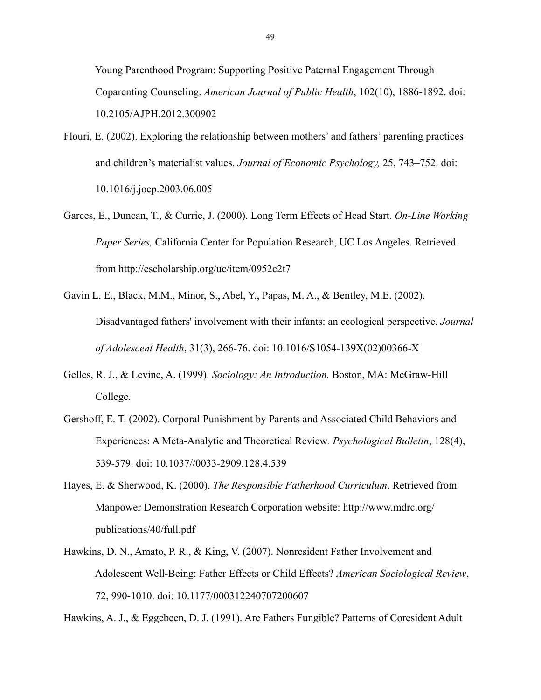Young Parenthood Program: Supporting Positive Paternal Engagement Through Coparenting Counseling. *American Journal of Public Health*, 102(10), 1886-1892. doi: 10.2105/AJPH.2012.300902

- Flouri, E. (2002). Exploring the relationship between mothers' and fathers' parenting practices and children's materialist values. *Journal of Economic Psychology,* 25, 743–752. doi: 10.1016/j.joep.2003.06.005
- Garces, E., Duncan, T., & Currie, J. (2000). Long Term Effects of Head Start. *On-Line Working Paper Series,* California Center for Population Research, UC Los Angeles. Retrieved from http://escholarship.org/uc/item/0952c2t7
- Gavin L. E., Black, M.M., Minor, S., Abel, Y., Papas, M. A., & Bentley, M.E. (2002). Disadvantaged fathers' involvement with their infants: an ecological perspective. *Journal of Adolescent Health*, 31(3), 266-76. doi: 10.1016/S1054-139X(02)00366-X
- Gelles, R. J., & Levine, A. (1999). *Sociology: An Introduction.* Boston, MA: McGraw-Hill College.
- Gershoff, E. T. (2002). Corporal Punishment by Parents and Associated Child Behaviors and Experiences: A Meta-Analytic and Theoretical Review*. Psychological Bulletin*, 128(4), 539-579. doi: 10.1037//0033-2909.128.4.539
- Hayes, E. & Sherwood, K. (2000). *The Responsible Fatherhood Curriculum*. Retrieved from Manpower Demonstration Research Corporation website: http://www.mdrc.org/ publications/40/full.pdf
- Hawkins, D. N., Amato, P. R., & King, V. (2007). Nonresident Father Involvement and Adolescent Well-Being: Father Effects or Child Effects? *American Sociological Review*, 72, 990-1010. doi: 10.1177/000312240707200607

Hawkins, A. J., & Eggebeen, D. J. (1991). Are Fathers Fungible? Patterns of Coresident Adult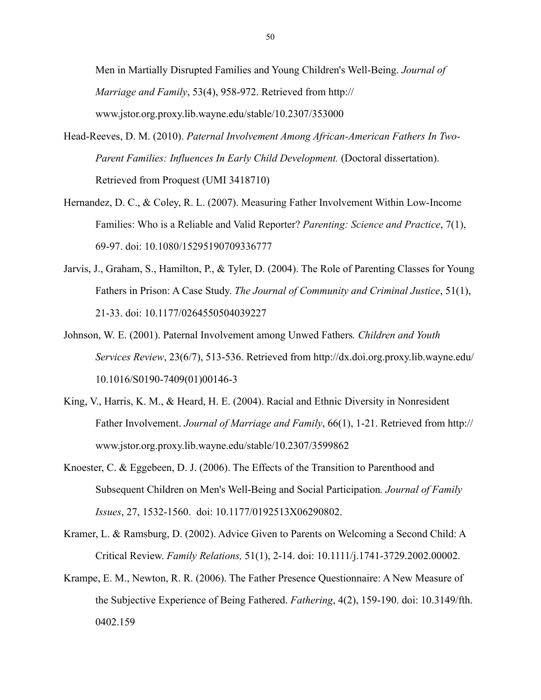Men in Martially Disrupted Families and Young Children's Well-Being. *Journal of Marriage and Family*, 53(4), 958-972. Retrieved from http:// www.jstor.org.proxy.lib.wayne.edu/stable/10.2307/353000

- Head-Reeves, D. M. (2010). *Paternal Involvement Among African-American Fathers In Two- Parent Families: Influences In Early Child Development.* (Doctoral dissertation). Retrieved from Proquest (UMI 3418710)
- Hernandez, D. C., & Coley, R. L. (2007). Measuring Father Involvement Within Low-Income Families: Who is a Reliable and Valid Reporter? *Parenting: Science and Practice*, 7(1), 69-97. doi: 10.1080/15295190709336777
- Jarvis, J., Graham, S., Hamilton, P., & Tyler, D. (2004). The Role of Parenting Classes for Young Fathers in Prison: A Case Study. *The Journal of Community and Criminal Justice*, 51(1), 21-33. doi: 10.1177/0264550504039227
- Johnson, W. E. (2001). Paternal Involvement among Unwed Fathers*. Children and Youth Services Review*, 23(6/7), 513-536. Retrieved from http://dx.doi.org.proxy.lib.wayne.edu/ 10.1016/S0190-7409(01)00146-3
- King, V., Harris, K. M., & Heard, H. E. (2004). Racial and Ethnic Diversity in Nonresident Father Involvement. *Journal of Marriage and Family*, 66(1), 1-21. Retrieved from http:// www.jstor.org.proxy.lib.wayne.edu/stable/10.2307/3599862
- Knoester, C. & Eggebeen, D. J. (2006). The Effects of the Transition to Parenthood and Subsequent Children on Men's Well-Being and Social Participation*. Journal of Family Issues*, 27, 1532-1560. doi: 10.1177/0192513X06290802.
- Kramer, L. & Ramsburg, D. (2002). Advice Given to Parents on Welcoming a Second Child: A Critical Review. *Family Relations,* 51(1), 2-14. doi: 10.1111/j.1741-3729.2002.00002.
- Krampe, E. M., Newton, R. R. (2006). The Father Presence Questionnaire: A New Measure of the Subjective Experience of Being Fathered. *Fathering*, 4(2), 159-190. doi: 10.3149/fth. 0402.159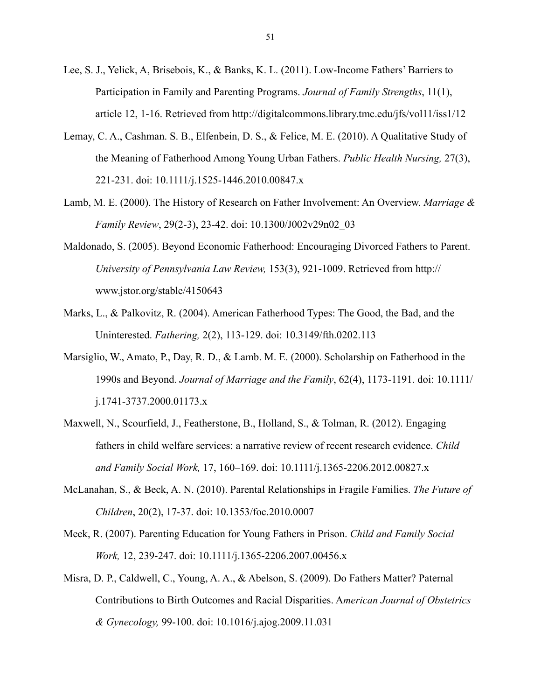- Lee, S. J., Yelick, A, Brisebois, K., & Banks, K. L. (2011). Low-Income Fathers' Barriers to Participation in Family and Parenting Programs. *Journal of Family Strengths*, 11(1), article 12, 1-16. Retrieved from http://digitalcommons.library.tmc.edu/jfs/vol11/iss1/12
- Lemay, C. A., Cashman. S. B., Elfenbein, D. S., & Felice, M. E. (2010). A Qualitative Study of the Meaning of Fatherhood Among Young Urban Fathers. *Public Health Nursing,* 27(3), 221-231. doi: 10.1111/j.1525-1446.2010.00847.x
- Lamb, M. E. (2000). The History of Research on Father Involvement: An Overview. *Marriage & Family Review*, 29(2-3), 23-42. doi: 10.1300/J002v29n02\_03
- Maldonado, S. (2005). Beyond Economic Fatherhood: Encouraging Divorced Fathers to Parent. *University of Pennsylvania Law Review,* 153(3), 921-1009. Retrieved from http:// www.jstor.org/stable/4150643
- Marks, L., & Palkovitz, R. (2004). American Fatherhood Types: The Good, the Bad, and the Uninterested. *Fathering,* 2(2), 113-129. doi: 10.3149/fth.0202.113
- Marsiglio, W., Amato, P., Day, R. D., & Lamb. M. E. (2000). Scholarship on Fatherhood in the 1990s and Beyond. *Journal of Marriage and the Family*, 62(4), 1173-1191. doi: 10.1111/ j.1741-3737.2000.01173.x
- Maxwell, N., Scourfield, J., Featherstone, B., Holland, S., & Tolman, R. (2012). Engaging fathers in child welfare services: a narrative review of recent research evidence. *Child and Family Social Work,* 17, 160–169. doi: 10.1111/j.1365-2206.2012.00827.x
- McLanahan, S., & Beck, A. N. (2010). Parental Relationships in Fragile Families. *The Future of Children*, 20(2), 17-37. doi: 10.1353/foc.2010.0007
- Meek, R. (2007). Parenting Education for Young Fathers in Prison. *Child and Family Social Work,* 12, 239-247. doi: 10.1111/j.1365-2206.2007.00456.x
- Misra, D. P., Caldwell, C., Young, A. A., & Abelson, S. (2009). Do Fathers Matter? Paternal Contributions to Birth Outcomes and Racial Disparities. A*merican Journal of Obstetrics & Gynecology,* 99-100. doi: 10.1016/j.ajog.2009.11.031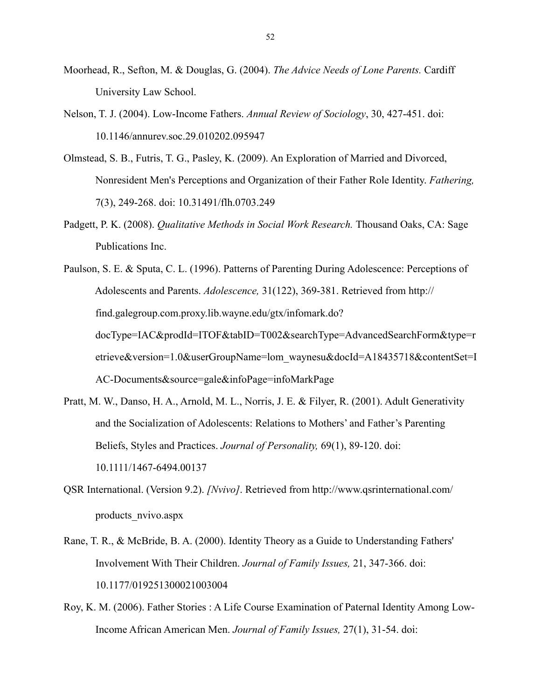- Moorhead, R., Sefton, M. & Douglas, G. (2004). *The Advice Needs of Lone Parents.* Cardiff University Law School.
- Nelson, T. J. (2004). Low-Income Fathers. *Annual Review of Sociology*, 30, 427-451. doi: 10.1146/annurev.soc.29.010202.095947
- Olmstead, S. B., Futris, T. G., Pasley, K. (2009). An Exploration of Married and Divorced, Nonresident Men's Perceptions and Organization of their Father Role Identity. *Fathering,*  7(3), 249-268. doi: 10.31491/flh.0703.249
- Padgett, P. K. (2008). *Qualitative Methods in Social Work Research.* Thousand Oaks, CA: Sage Publications Inc.
- Paulson, S. E. & Sputa, C. L. (1996). Patterns of Parenting During Adolescence: Perceptions of Adolescents and Parents. *Adolescence,* 31(122), 369-381. Retrieved from http:// find.galegroup.com.proxy.lib.wayne.edu/gtx/infomark.do? docType=IAC&prodId=ITOF&tabID=T002&searchType=AdvancedSearchForm&type=r etrieve&version=1.0&userGroupName=lom\_waynesu&docId=A18435718&contentSet=I AC-Documents&source=gale&infoPage=infoMarkPage
- Pratt, M. W., Danso, H. A., Arnold, M. L., Norris, J. E. & Filyer, R. (2001). Adult Generativity and the Socialization of Adolescents: Relations to Mothers' and Father's Parenting Beliefs, Styles and Practices. *Journal of Personality,* 69(1), 89-120. doi: 10.1111/1467-6494.00137
- QSR International. (Version 9.2). *[Nvivo]*. Retrieved from http://www.qsrinternational.com/ products\_nvivo.aspx
- Rane, T. R., & McBride, B. A. (2000). Identity Theory as a Guide to Understanding Fathers' Involvement With Their Children. *Journal of Family Issues,* 21, 347-366. doi: 10.1177/019251300021003004
- Roy, K. M. (2006). Father Stories : A Life Course Examination of Paternal Identity Among Low- Income African American Men. *Journal of Family Issues,* 27(1), 31-54. doi: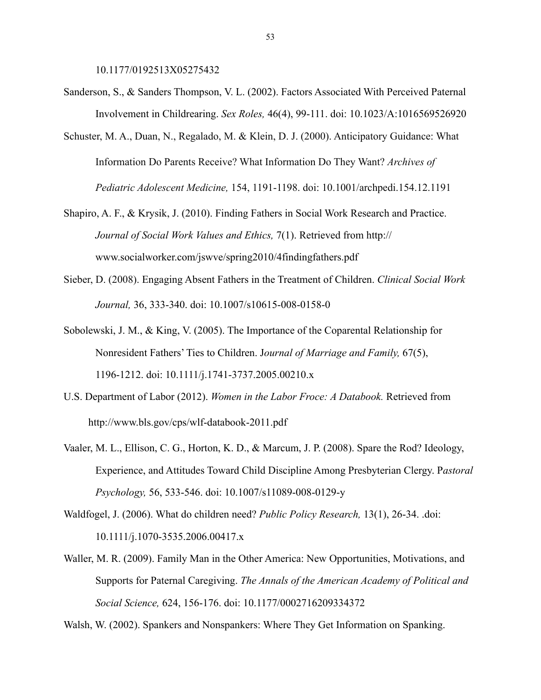10.1177/0192513X05275432

- Sanderson, S., & Sanders Thompson, V. L. (2002). Factors Associated With Perceived Paternal Involvement in Childrearing. *Sex Roles,* 46(4), 99-111. doi: 10.1023/A:1016569526920
- Schuster, M. A., Duan, N., Regalado, M. & Klein, D. J. (2000). Anticipatory Guidance: What Information Do Parents Receive? What Information Do They Want? *Archives of Pediatric Adolescent Medicine,* 154, 1191-1198. doi: 10.1001/archpedi.154.12.1191
- Shapiro, A. F., & Krysik, J. (2010). Finding Fathers in Social Work Research and Practice. *Journal of Social Work Values and Ethics,* 7(1). Retrieved from http:// www.socialworker.com/jswve/spring2010/4findingfathers.pdf
- Sieber, D. (2008). Engaging Absent Fathers in the Treatment of Children. *Clinical Social Work Journal,* 36, 333-340. doi: 10.1007/s10615-008-0158-0
- Sobolewski, J. M., & King, V. (2005). The Importance of the Coparental Relationship for Nonresident Fathers' Ties to Children. J*ournal of Marriage and Family,* 67(5), 1196-1212. doi: 10.1111/j.1741-3737.2005.00210.x
- U.S. Department of Labor (2012). *Women in the Labor Froce: A Databook.* Retrieved from http://www.bls.gov/cps/wlf-databook-2011.pdf
- Vaaler, M. L., Ellison, C. G., Horton, K. D., & Marcum, J. P. (2008). Spare the Rod? Ideology, Experience, and Attitudes Toward Child Discipline Among Presbyterian Clergy. P*astoral Psychology,* 56, 533-546. doi: 10.1007/s11089-008-0129-y
- Waldfogel, J. (2006). What do children need? *Public Policy Research,* 13(1), 26-34. .doi: 10.1111/j.1070-3535.2006.00417.x
- Waller, M. R. (2009). Family Man in the Other America: New Opportunities, Motivations, and Supports for Paternal Caregiving. *The Annals of the American Academy of Political and Social Science,* 624, 156-176. doi: 10.1177/0002716209334372

Walsh, W. (2002). Spankers and Nonspankers: Where They Get Information on Spanking.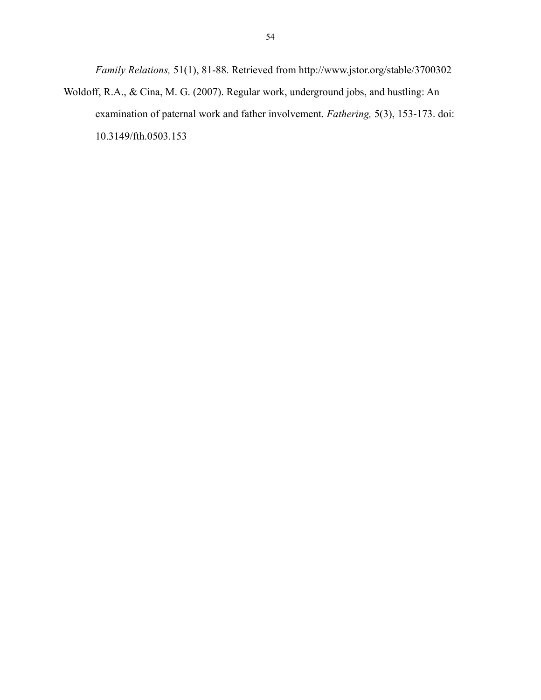*Family Relations,* 51(1), 81-88. Retrieved from http://www.jstor.org/stable/3700302 Woldoff, R.A., & Cina, M. G. (2007). Regular work, underground jobs, and hustling: An examination of paternal work and father involvement. *Fathering,* 5(3), 153-173. doi: 10.3149/fth.0503.153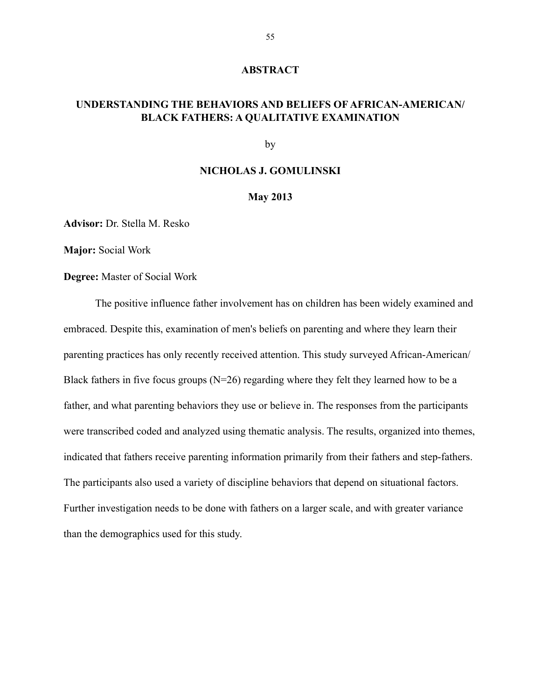#### **ABSTRACT**

### **UNDERSTANDING THE BEHAVIORS AND BELIEFS OF AFRICAN-AMERICAN/ BLACK FATHERS: A QUALITATIVE EXAMINATION**

by

#### **NICHOLAS J. GOMULINSKI**

#### **May 2013**

**Advisor:** Dr. Stella M. Resko

**Major:** Social Work

**Degree:** Master of Social Work

 The positive influence father involvement has on children has been widely examined and embraced. Despite this, examination of men's beliefs on parenting and where they learn their parenting practices has only recently received attention. This study surveyed African-American/ Black fathers in five focus groups (N=26) regarding where they felt they learned how to be a father, and what parenting behaviors they use or believe in. The responses from the participants were transcribed coded and analyzed using thematic analysis. The results, organized into themes, indicated that fathers receive parenting information primarily from their fathers and step-fathers. The participants also used a variety of discipline behaviors that depend on situational factors. Further investigation needs to be done with fathers on a larger scale, and with greater variance than the demographics used for this study.